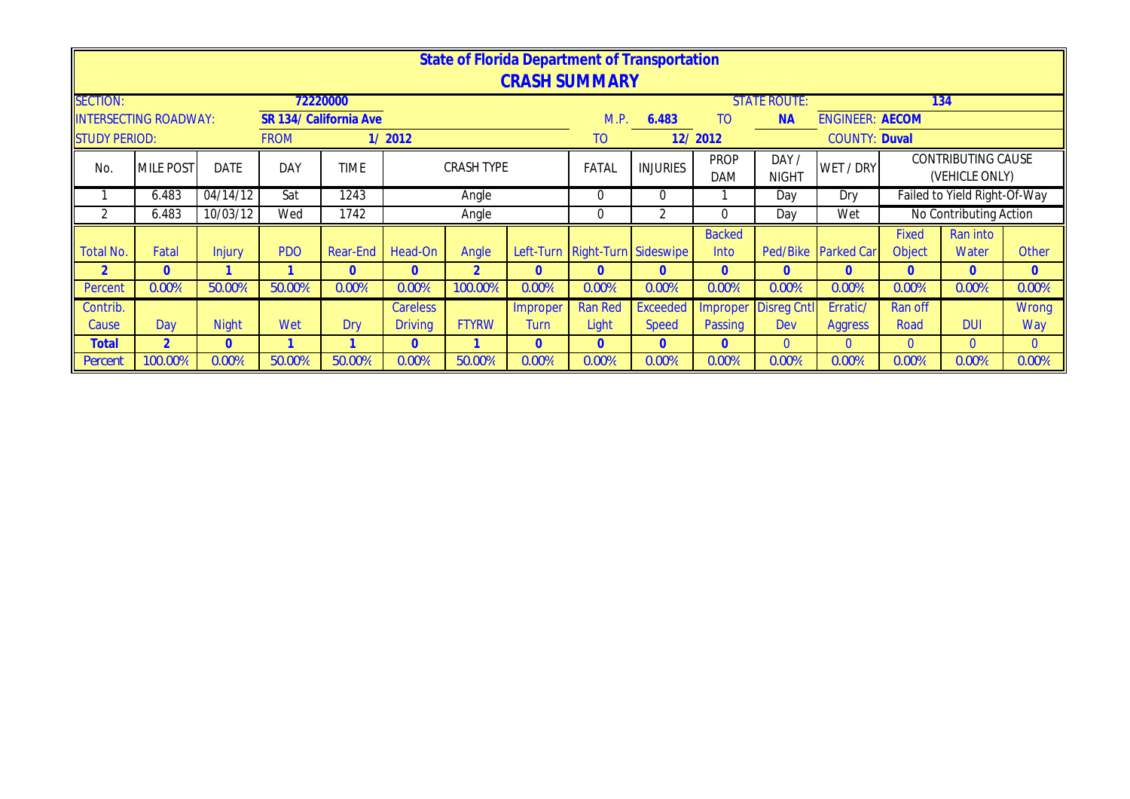|                      |                              |              |             |                        |                 |                      |              | <b>State of Florida Department of Transportation</b> |                 |                           |                       |                        |              |                                      |              |
|----------------------|------------------------------|--------------|-------------|------------------------|-----------------|----------------------|--------------|------------------------------------------------------|-----------------|---------------------------|-----------------------|------------------------|--------------|--------------------------------------|--------------|
|                      |                              |              |             |                        |                 |                      |              | <b>CRASH SUMMARY</b>                                 |                 |                           |                       |                        |              |                                      |              |
| <b>SECTION:</b>      |                              |              |             | 72220000               |                 |                      |              |                                                      |                 |                           | <b>STATE ROUTE:</b>   |                        |              | 134                                  |              |
|                      | <b>INTERSECTING ROADWAY:</b> |              |             | SR 134/ California Ave |                 |                      |              | M.P.                                                 | 6.483           | T <sub>O</sub>            | <b>NA</b>             | <b>ENGINEER: AECOM</b> |              |                                      |              |
| <b>STUDY PERIOD:</b> |                              |              | <b>FROM</b> |                        | 1/2012          |                      |              | TO                                                   |                 | 12/2012                   |                       | <b>COUNTY: Duval</b>   |              |                                      |              |
| No.                  | <b>MILE POST</b>             | <b>DATE</b>  | DAY         | <b>TIME</b>            |                 | <b>CRASH TYPE</b>    |              | FATAL                                                | <b>INJURIES</b> | <b>PROP</b><br><b>DAM</b> | DAY /<br><b>NIGHT</b> | WET / DRY              |              | CONTRIBUTING CAUSE<br>(VEHICLE ONLY) |              |
|                      | 6.483                        | 04/14/12     | Sat         | 1243                   |                 | Angle                |              | $\theta$                                             | $\Omega$        |                           | Day                   | Dry                    |              | Failed to Yield Right-Of-Way         |              |
| 2                    | 6.483                        | 10/03/12     | Wed         | 1742                   |                 | Angle                |              | 0                                                    | $\overline{2}$  | 0                         | Day                   | Wet                    |              | No Contributing Action               |              |
|                      |                              |              |             |                        |                 |                      |              |                                                      |                 | <b>Backed</b>             |                       |                        | <b>Fixed</b> | Ran into                             |              |
| <b>Total No.</b>     | Fatal                        | Injury       | <b>PDO</b>  | Rear-End               | Head-On         | Angle                |              | Left-Turn Right-Turn Sideswipe                       |                 | Into                      |                       | Ped/Bike Parked Car    | Object       | Water                                | Other        |
| $\overline{2}$       | $\Omega$                     |              |             | $\mathbf{0}$           | $\Omega$        | $\overline{2}$       | $\Omega$     | $\overline{0}$                                       | $\mathbf{0}$    | $\mathbf{0}$              | $\overline{0}$        | $\mathbf{0}$           | $\mathbf{0}$ | $\overline{0}$                       | $\mathbf{0}$ |
| Percent              | 0.00%                        | 50.00%       | 50.00%      | 0.00%                  | 0.00%           | 100.00%              | 0.00%        | 0.00%                                                | 0.00%           | 0.00%                     | 0.00%                 | 0.00%                  | 0.00%        | 0.00%                                | 0.00%        |
| Contrib.             |                              |              |             |                        | <b>Careless</b> |                      | Improper     | <b>Ran Red</b>                                       | <b>Exceeded</b> | <b>Improper</b>           | <b>Disreg Cntl</b>    | Erratic/               | Ran off      |                                      | Wrong        |
| Cause                | Day                          | <b>Night</b> | Wet         | Dry                    | <b>Driving</b>  | <b>FTYRW</b><br>Turn |              |                                                      | <b>Speed</b>    | <b>Passing</b>            | Dev                   | Aggress                | Road         | <b>DUI</b>                           | Way          |
| Total                | $\overline{2}$               | $\mathbf{0}$ |             |                        | $\mathbf{0}$    |                      | $\mathbf{0}$ | $\mathbf{0}$                                         | $\mathbf{0}$    | $\overline{0}$            | $\overline{0}$        | $\mathbf{0}$           | $\mathbf{0}$ | $\overline{0}$                       | $\mathbf{0}$ |
| Percent              | 100.00%                      | 0.00%        | 50.00%      | 50.00%                 | 0.00%           | 50.00%               | 0.00%        | 0.00%                                                | 0.00%           | 0.00%                     | 0.00%                 | 0.00%                  | 0.00%        | 0.00%                                | 0.00%        |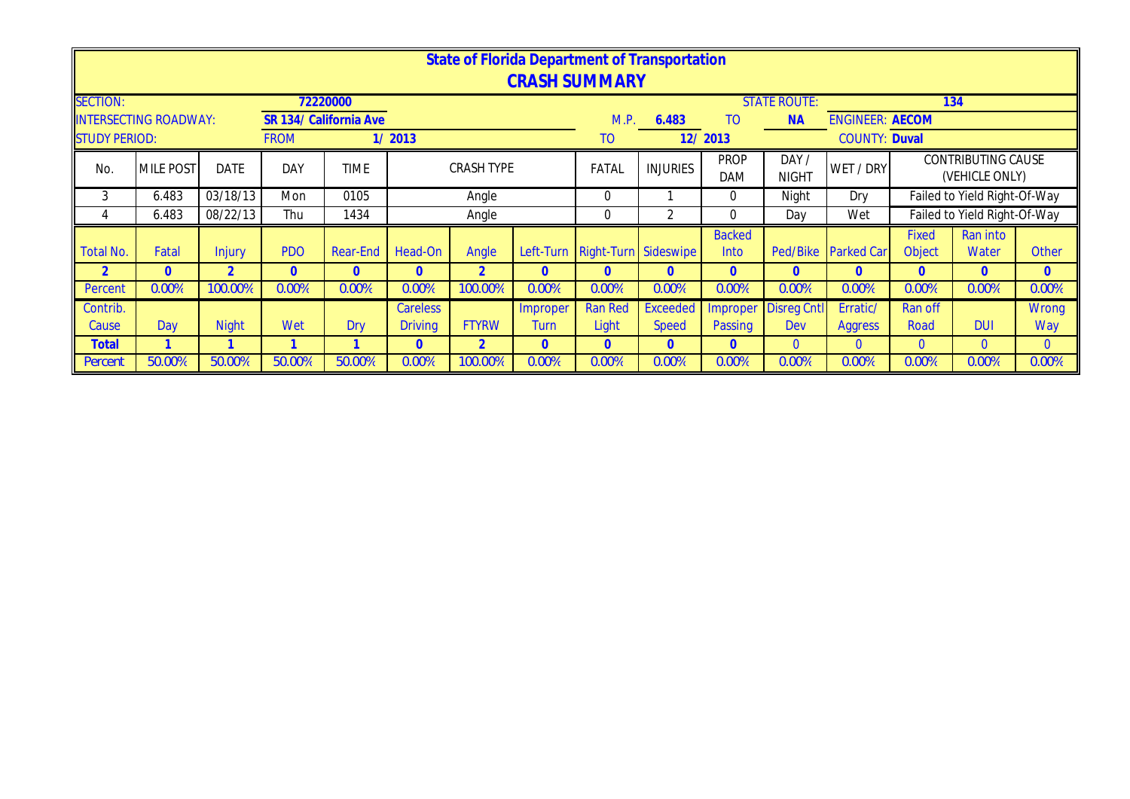|                      |                              |              |                |                        |                                        |                   |              | <b>State of Florida Department of Transportation</b> |                 |                       |                       |                        |                               |                                      |                |
|----------------------|------------------------------|--------------|----------------|------------------------|----------------------------------------|-------------------|--------------|------------------------------------------------------|-----------------|-----------------------|-----------------------|------------------------|-------------------------------|--------------------------------------|----------------|
|                      |                              |              |                |                        |                                        |                   |              | <b>CRASH SUMMARY</b>                                 |                 |                       |                       |                        |                               |                                      |                |
| <b>SECTION:</b>      |                              |              |                | 72220000               |                                        |                   |              |                                                      |                 |                       | <b>STATE ROUTE:</b>   |                        |                               | 134                                  |                |
|                      | <b>INTERSECTING ROADWAY:</b> |              |                | SR 134/ California Ave |                                        |                   |              | M.P.                                                 | 6.483           | TO                    | <b>NA</b>             | <b>ENGINEER: AECOM</b> |                               |                                      |                |
| <b>STUDY PERIOD:</b> |                              |              | <b>FROM</b>    |                        | 1/2013                                 |                   |              | TO                                                   |                 | 12/2013               |                       | <b>COUNTY: Duval</b>   |                               |                                      |                |
| No.                  | <b>MILE POST</b>             | <b>DATE</b>  | DAY            | <b>TIME</b>            |                                        | <b>CRASH TYPE</b> |              | FATAL                                                | <b>INJURIES</b> | <b>PROP</b><br>DAM    | DAY /<br><b>NIGHT</b> | WET / DRY              |                               | CONTRIBUTING CAUSE<br>(VEHICLE ONLY) |                |
| 3                    | 6.483                        | 03/18/13     | Mon            | 0105                   |                                        | Angle             |              | $\Omega$                                             |                 | $\Omega$              | Night                 | Dry                    |                               | Failed to Yield Right-Of-Way         |                |
| 4                    | 6.483                        | 08/22/13     | Thu            | 1434                   |                                        | Angle             |              | 0                                                    | 2               | $\Omega$              | Day                   | Wet                    |                               | Failed to Yield Right-Of-Way         |                |
| <b>Total No.</b>     | Fatal                        | Injury       | <b>PDO</b>     | Rear-End               | Head-On                                | Angle             |              | Left-Turn Right-Turn Sideswipe                       |                 | <b>Backed</b><br>Into | Ped/Bike              | <b>Parked Car</b>      | <b>Fixed</b><br><b>Object</b> | Ran into<br>Water                    | <b>Other</b>   |
| $\overline{2}$       | 0                            |              | $\overline{0}$ | 0                      | $\mathbf{0}$                           | $\overline{2}$    | 0            | $\mathbf{0}$                                         | $\overline{0}$  | $\Omega$              | $\mathbf{0}$          | $\mathbf{0}$           | $\Omega$                      | $\overline{0}$                       | $\mathbf{0}$   |
| Percent              | 0.00%                        | 100.00%      | 0.00%          | 0.00%                  | 0.00%                                  | 100.00%           | 0.00%        | 0.00%                                                | 0.00%           | 0.00%                 | 0.00%                 | 0.00%                  | 0.00%                         | 0.00%                                | 0.00%          |
| Contrib.             |                              |              |                |                        | <b>Careless</b>                        |                   | Improper     | <b>Ran Red</b>                                       | <b>Exceeded</b> | Improper              | <b>Disreg Cntl</b>    | Erratic/               | Ran off                       |                                      | <b>Wrong</b>   |
| Cause                | Day                          | <b>Night</b> | Wet            | Dry                    | <b>FTYRW</b><br><b>Driving</b><br>Turn |                   |              | Light                                                | <b>Speed</b>    | Passing               | Dev                   | <b>Aggress</b>         | Road                          | <b>DUI</b>                           | Way            |
| <b>Total</b>         |                              |              |                |                        | $\overline{0}$                         | $\overline{2}$    | $\mathbf{0}$ | $\mathbf{0}$                                         | $\overline{0}$  | $\mathbf{0}$          | $\overline{0}$        | $\overline{0}$         | $\overline{0}$                | $\overline{0}$                       | $\overline{0}$ |
| Percent              | 50.00%                       | 50.00%       | 50.00%         | 50.00%                 | 0.00%                                  | 100.00%           | 0.00%        | 0.00%                                                | 0.00%           | 0.00%                 | 0.00%                 | 0.00%                  | 0.00%                         | 0.00%                                | 0.00%          |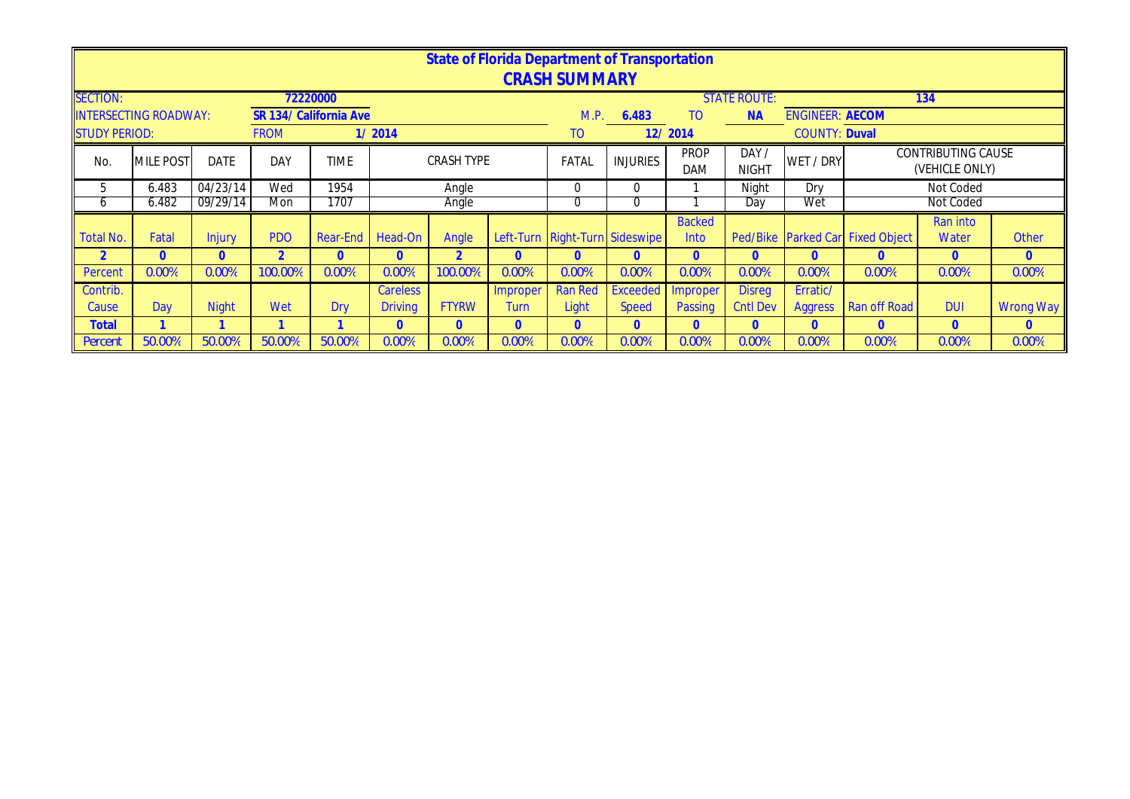|                      |                              |              |             |                        |                 |                   |              | State of Florida Department of Transportation |                 |                |                     |                        |                                  |                           |                  |
|----------------------|------------------------------|--------------|-------------|------------------------|-----------------|-------------------|--------------|-----------------------------------------------|-----------------|----------------|---------------------|------------------------|----------------------------------|---------------------------|------------------|
|                      |                              |              |             |                        |                 |                   |              | <b>CRASH SUMMARY</b>                          |                 |                |                     |                        |                                  |                           |                  |
| <b>SECTION:</b>      |                              |              |             | 72220000               |                 |                   |              |                                               |                 |                | <b>STATE ROUTE:</b> |                        |                                  | 134                       |                  |
|                      | <b>INTERSECTING ROADWAY:</b> |              |             | SR 134/ California Ave |                 |                   |              | M.P.                                          | 6.483           | T <sub>O</sub> | <b>NA</b>           | <b>ENGINEER: AECOM</b> |                                  |                           |                  |
| <b>STUDY PERIOD:</b> |                              |              | <b>FROM</b> |                        | 1/2014          |                   |              | TO.                                           |                 | 12/2014        |                     | <b>COUNTY: Duval</b>   |                                  |                           |                  |
| No.                  | <b>MILE POST</b>             | <b>DATE</b>  | <b>DAY</b>  | <b>TIME</b>            |                 | <b>CRASH TYPE</b> |              | FATAL                                         | <b>INJURIES</b> | <b>PROP</b>    | DAY/                | WET / DRY              |                                  | <b>CONTRIBUTING CAUSE</b> |                  |
|                      |                              |              |             |                        |                 |                   |              |                                               |                 | <b>DAM</b>     | <b>NIGHT</b>        |                        |                                  | (VEHICLE ONLY)            |                  |
| 5                    | 6.483                        | 04/23/14     | Wed         | 1954                   |                 | Angle             |              | 0                                             | $\mathbf 0$     |                | Night               | Dry                    |                                  | Not Coded                 |                  |
| O                    | 6.482                        | 09/29/14     | Mon         | 1707                   |                 | Angle             |              | 0                                             | 0               |                | Day                 | Wet                    |                                  | Not Coded                 |                  |
|                      |                              |              |             |                        |                 |                   |              |                                               |                 | <b>Backed</b>  |                     |                        |                                  | Ran into                  |                  |
| <b>Total No.</b>     | Fatal                        | Injury       | <b>PDO</b>  | <b>Rear-End</b>        | Head-On         | Angle             |              | Left-Turn Right-Turn Sideswipe                |                 | Into           |                     |                        | Ped/Bike Parked Car Fixed Object | Water                     | <b>Other</b>     |
|                      | $\mathbf{0}$                 | $\mathbf{0}$ |             | $\overline{0}$         | $\Omega$        |                   | $\Omega$     | $\Omega$                                      | $\mathbf{0}$    | $\Omega$       | $\Omega$            | $\mathbf{0}$           | $\overline{0}$                   | $\mathbf{0}$              | $\mathbf{0}$     |
| Percent              | 0.00%                        | 0.00%        | 100.00%     | 0.00%                  | 0.00%           | 100.00%           | 0.00%        | 0.00%                                         | 0.00%           | 0.00%          | 0.00%               | 0.00%                  | 0.00%                            | 0.00%                     | 0.00%            |
| Contrib.             |                              |              |             |                        | <b>Careless</b> |                   | Improper     | <b>Ran Red</b>                                | <b>Exceeded</b> | Improper       | <b>Disreg</b>       | Erratic/               |                                  |                           |                  |
| Cause                | Day                          | <b>Night</b> | Wet         | Dry                    | <b>Driving</b>  | <b>FTYRW</b>      | <b>Turn</b>  | Light                                         | <b>Speed</b>    | Passing        | <b>Cntl Dev</b>     | <b>Aggress</b>         | Ran off Road                     | <b>DUI</b>                | <b>Wrong Way</b> |
| <b>Total</b>         |                              |              |             |                        | $\overline{0}$  | $\Omega$          | $\mathbf{0}$ | $\Omega$                                      | $\theta$        | $\overline{0}$ | $\mathbf{0}$        | $\mathbf{0}$           | $\mathbf{0}$                     | $\mathbf{0}$              | $\mathbf{0}$     |
| Percent              | 50.00%                       | 50.00%       | 50.00%      | 50.00%                 | 0.00%           | 0.00%             | 0.00%        | 0.00%                                         | 0.00%           | 0.00%          | 0.00%               | 0.00%                  | 0.00%                            | 0.00%                     | 0.00%            |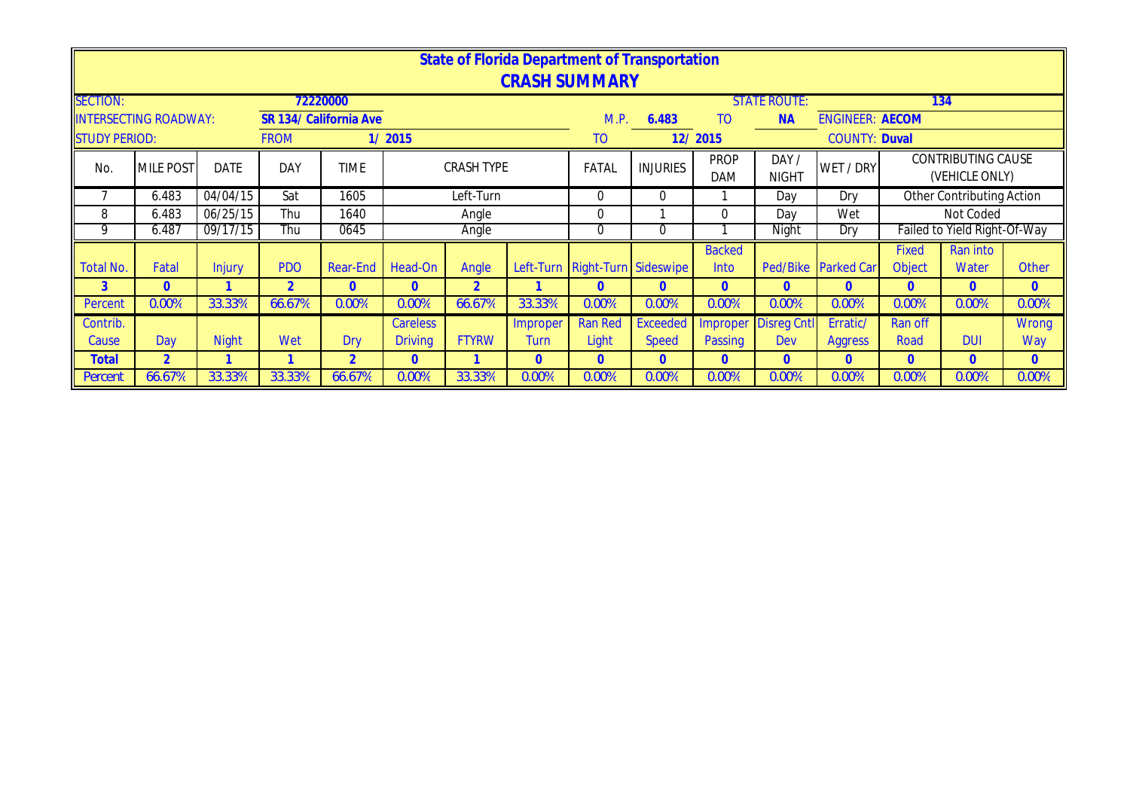|                      |                              |              |                |                        |                                        |                   |                | State of Florida Department of Transportation<br><b>CRASH SUMMARY</b> |                 |                           |                       |                        |              |                                             |                |
|----------------------|------------------------------|--------------|----------------|------------------------|----------------------------------------|-------------------|----------------|-----------------------------------------------------------------------|-----------------|---------------------------|-----------------------|------------------------|--------------|---------------------------------------------|----------------|
| <b>SECTION:</b>      |                              |              |                | 72220000               |                                        |                   |                |                                                                       |                 |                           | <b>STATE ROUTE:</b>   |                        |              | 134                                         |                |
|                      | <b>INTERSECTING ROADWAY:</b> |              |                | SR 134/ California Ave |                                        |                   |                | M.P.                                                                  | 6.483           | T <sub>O</sub>            | <b>NA</b>             | <b>ENGINEER: AECOM</b> |              |                                             |                |
| <b>STUDY PERIOD:</b> |                              |              | <b>FROM</b>    |                        | 1/2015                                 |                   |                | <b>TO</b>                                                             |                 | 12/2015                   |                       | <b>COUNTY: Duval</b>   |              |                                             |                |
| N <sub>o</sub>       | <b>MILE POST</b>             | <b>DATE</b>  | DAY            | <b>TIME</b>            |                                        | <b>CRASH TYPE</b> |                | FATAL                                                                 | <b>INJURIES</b> | <b>PROP</b><br><b>DAM</b> | DAY /<br><b>NIGHT</b> | WET / DRY              |              | <b>CONTRIBUTING CAUSE</b><br>(VEHICLE ONLY) |                |
|                      | 6.483                        | 04/04/15     | Sat            | 1605                   |                                        | Left-Turn         |                | $\Omega$                                                              | $\overline{0}$  |                           | Day                   | Dry                    |              | Other Contributing Action                   |                |
| 8                    | 6.483                        | 06/25/15     | Thu            | 1640                   |                                        | Angle             |                | $\Omega$                                                              |                 | $\Omega$                  | Dav                   | Wet                    |              | Not Coded                                   |                |
| 9                    | 6.487                        | 09/17/15     | Thu            | 0645                   |                                        | Angle             |                | 0                                                                     | $\Omega$        |                           | Night                 | Dry                    |              | Failed to Yield Right-Of-Way                |                |
|                      |                              |              |                |                        |                                        |                   |                |                                                                       |                 | <b>Backed</b>             |                       |                        | <b>Fixed</b> | Ran into                                    |                |
| Total No.            | Fatal                        | Injury       | <b>PDO</b>     | Rear-End               | Head-On                                | Angle             |                | Left-Turn Right-Turn Sideswipe                                        |                 | Into                      | Ped/Bike              | <b>Parked Car</b>      | Object       | Water                                       | <b>Other</b>   |
| 3                    | 0                            |              | $\overline{2}$ | $\Omega$               | $\Omega$                               | $\overline{2}$    |                | $\Omega$                                                              | $\mathbf{0}$    | $\Omega$                  | $\Omega$              | $\mathbf{0}$           | $\Omega$     | $\overline{0}$                              | $\overline{0}$ |
| Percent              | 0.00%                        | 33.33%       | 66.67%         | 0.00%                  | 0.00%                                  | 66.67%            | 33.33%         | 0.00%                                                                 | 0.00%           | 0.00%                     | 0.00%                 | 0.00%                  | 0.00%        | 0.00%                                       | 0.00%          |
| Contrib.             |                              |              |                |                        | <b>Careless</b>                        |                   | Improper       | <b>Ran Red</b>                                                        | Exceeded        | Improper                  | <b>Disreg Cntl</b>    | Erratic/               | Ran off      |                                             | <b>Wrong</b>   |
| Cause                | Day                          | <b>Night</b> | Wet            | <b>Dry</b>             | <b>FTYRW</b><br><b>Driving</b><br>Turn |                   |                | Light                                                                 | <b>Speed</b>    | Passing                   | Dev                   | <b>Aggress</b>         | Road         | <b>DUI</b>                                  | Way            |
| <b>Total</b>         | $\overline{2}$               |              |                | $\overline{2}$         | $\mathbf{0}$                           |                   | $\overline{0}$ | $\Omega$                                                              | $\overline{0}$  | $\Omega$                  | $\Omega$              | $\mathbf{0}$           | $\Omega$     | $\Omega$                                    | $\mathbf{0}$   |
| Percent              | 66.67%                       | 33.33%       | 33.33%         | 66.67%                 | 0.00%                                  | 33.33%            | 0.00%          | 0.00%                                                                 | 0.00%           | 0.00%                     | 0.00%                 | 0.00%                  | 0.00%        | 0.00%                                       | 0.00%          |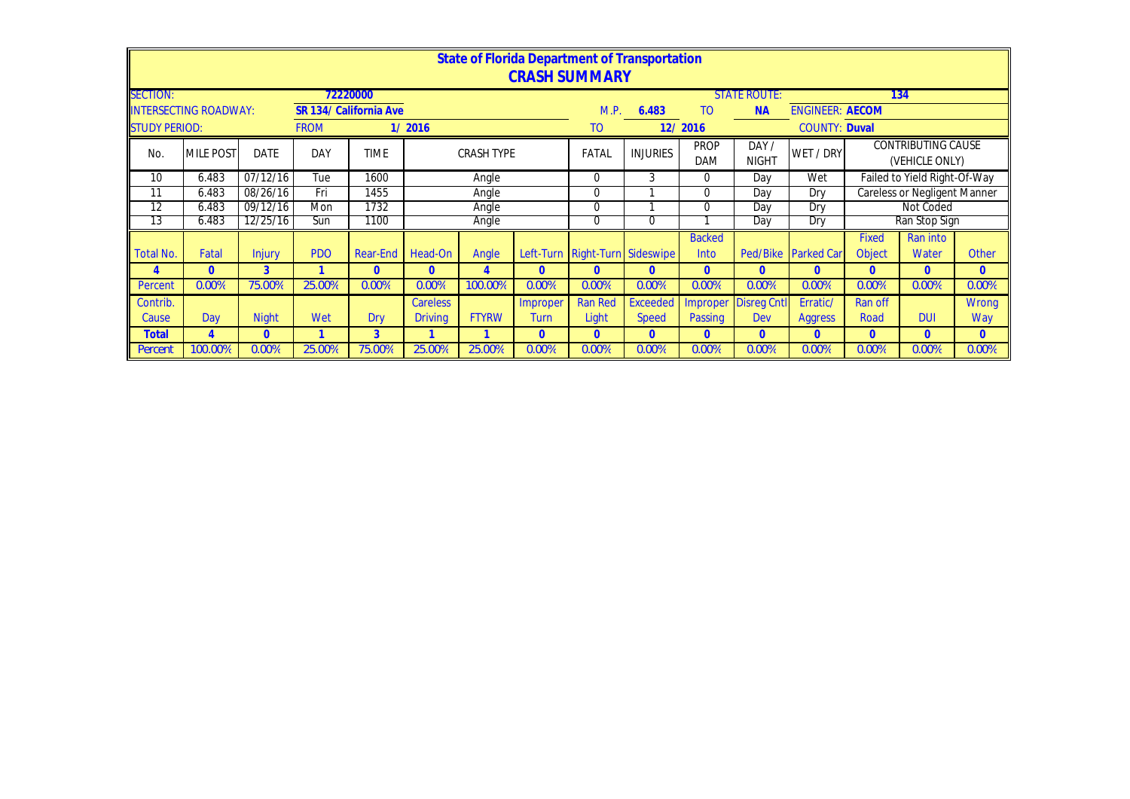|                      |                             |               |             |                        |                 |                               |                | State of Florida Department of Transportation<br><b>CRASH SUMMARY</b> |                 |                           |                      |                        |               |                                             |                |
|----------------------|-----------------------------|---------------|-------------|------------------------|-----------------|-------------------------------|----------------|-----------------------------------------------------------------------|-----------------|---------------------------|----------------------|------------------------|---------------|---------------------------------------------|----------------|
| <b>SECTION:</b>      |                             |               |             | 72220000               |                 |                               |                |                                                                       |                 |                           | <b>STATE ROUTE:</b>  |                        |               | 134                                         |                |
|                      | <b>NTERSECTING ROADWAY:</b> |               |             | SR 134/ California Ave |                 |                               |                | M.P.                                                                  | 6.483           | T <sub>O</sub>            | <b>NA</b>            | <b>ENGINEER: AECOM</b> |               |                                             |                |
| <b>STUDY PERIOD:</b> |                             |               | <b>FROM</b> |                        | 1/2016          |                               |                | T <sub>O</sub>                                                        |                 | 12/2016                   |                      | <b>COUNTY: Duval</b>   |               |                                             |                |
| No.                  | <b>MILE POST</b>            | <b>DATE</b>   | DAY         | <b>TIME</b>            |                 | <b>CRASH TYPE</b>             |                | FATAL                                                                 | <b>INJURIES</b> | <b>PROP</b><br><b>DAM</b> | DAY/<br><b>NIGHT</b> | WET / DRY              |               | <b>CONTRIBUTING CAUSE</b><br>(VEHICLE ONLY) |                |
| 10                   | 6.483                       | 07/12/16      | Tue         | 1600                   |                 | Angle                         |                | $\Omega$                                                              | 3               | 0                         | Day                  | Wet                    |               | Failed to Yield Right-Of-Way                |                |
| 11                   | 6.483                       | 08/26/16      | Fri         | 1455                   |                 | Angle                         |                | $\Omega$                                                              |                 | 0                         | Day                  | Dry                    |               | <b>Careless or Negligent Manner</b>         |                |
| 12                   | 6.483                       | 09/12/16      | Mon         | 1732                   |                 | Angle                         |                | $\Omega$                                                              |                 | 0                         | Day                  | Dry                    |               | Not Coded                                   |                |
| 13                   | 6.483                       | 12/25/16      | Sun         | 1100                   |                 | Angle                         |                | $\Omega$                                                              | 0               |                           | Day                  | Dry                    |               | Ran Stop Sign                               |                |
|                      |                             |               |             |                        |                 |                               |                |                                                                       |                 | <b>Backed</b>             |                      |                        | Fixed         | Ran into                                    |                |
| Total No.            | Fatal                       | <b>Injury</b> | <b>PDO</b>  | Rear-End               | Head-On         | Angle                         |                | Left-Turn Right-Turn Sideswipe                                        |                 | Into                      | Ped/Bike             | <b>Parked Car</b>      | <b>Object</b> | Water                                       | <b>Other</b>   |
| 4                    | $\Omega$                    | 3             |             | $\mathbf{0}$           | $\mathbf{0}$    | 4                             | $\mathbf{0}$   | $\mathbf{0}$                                                          | $\mathbf{0}$    | $\Omega$                  | $\Omega$             | $\mathbf{0}$           | $\Omega$      | $\overline{0}$                              | $\overline{0}$ |
| Percent              | 0.00%                       | 75.00%        | 25.00%      | $0.00\%$               | 0.00%           | 100.00%                       | 0.00%          | 0.00%                                                                 | 0.00%           | 0.00%                     | 0.00%                | 0.00%                  | 0.00%         | 0.00%                                       | 0.00%          |
| Contrib.             |                             |               |             |                        | <b>Careless</b> |                               | Improper       | <b>Ran Red</b>                                                        | <b>Exceeded</b> | Improper                  | <b>Disreg Cntl</b>   | Erratic/               | Ran off       |                                             | Wrong          |
| Cause                | Day                         | <b>Night</b>  | Wet         | Drv                    | <b>Driving</b>  | <b>FTYRW</b><br>Light<br>Turn |                |                                                                       | <b>Speed</b>    | Passing                   | Dev                  | <b>Aggress</b>         | Road          | <b>DUI</b>                                  | Way            |
| <b>Total</b>         | 4                           | $\theta$      |             | 3                      |                 |                               | $\overline{0}$ | $\Omega$                                                              | $\Omega$        | $\overline{0}$            | $\Omega$             | $\mathbf{0}$           | $\Omega$      | $\Omega$                                    | $\Omega$       |
| Percent              | 100.00%                     | 0.00%         | 25.00%      | 75.00%                 | 25.00%          | 25.00%                        | 0.00%          | 0.00%                                                                 | 0.00%           | 0.00%                     | 0.00%                | 0.00%                  | 0.00%         | 0.00%                                       | 0.00%          |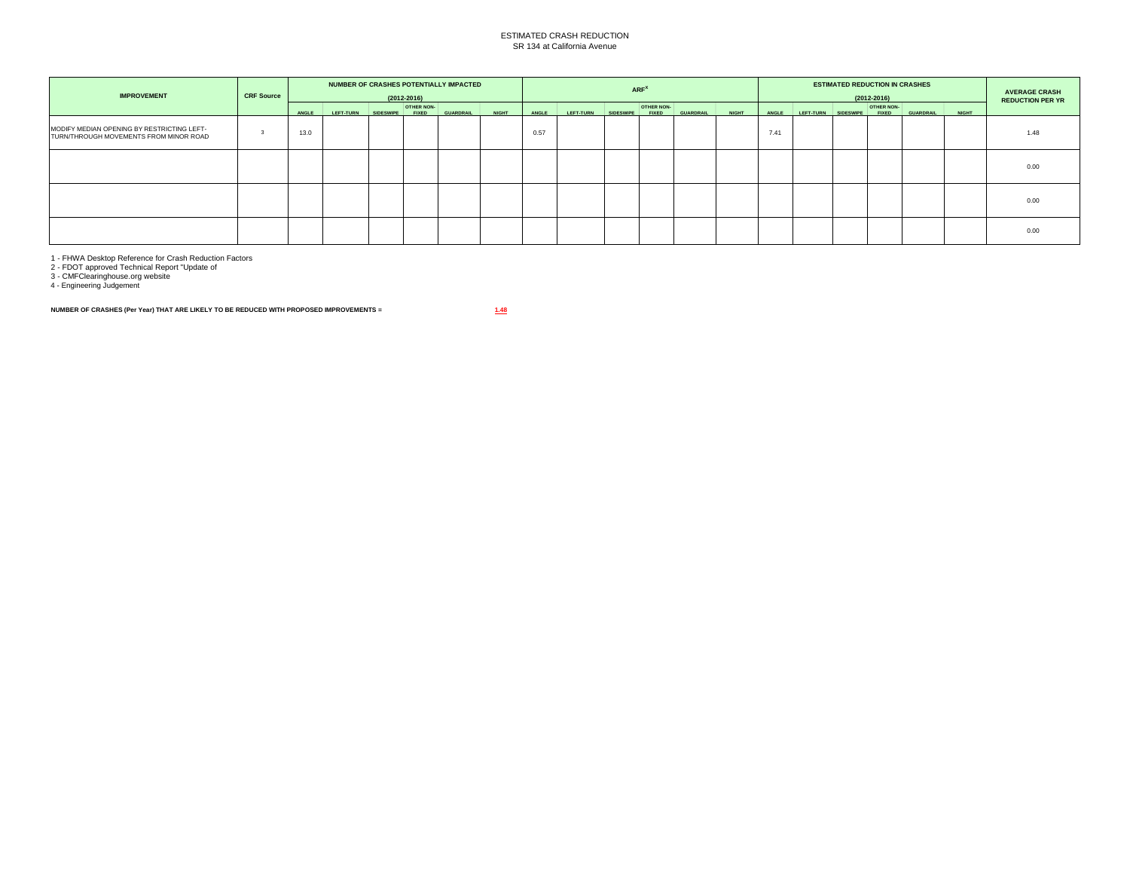## ESTIMATED CRASH REDUCTION SR 134 at California Avenue

| <b>IMPROVEMENT</b>                                                                   | <b>CRF Source</b> |       |                  |           | $(2012 - 2016)$                   | NUMBER OF CRASHES POTENTIALLY IMPACTED |              |       |                  |                  | ARF <sup>X</sup>           |                  |              |       |           | <b>ESTIMATED REDUCTION IN CRASHES</b> | $(2012 - 2016)$                   |                  |              | <b>AVERAGE CRASH</b><br><b>REDUCTION PER YR</b> |
|--------------------------------------------------------------------------------------|-------------------|-------|------------------|-----------|-----------------------------------|----------------------------------------|--------------|-------|------------------|------------------|----------------------------|------------------|--------------|-------|-----------|---------------------------------------|-----------------------------------|------------------|--------------|-------------------------------------------------|
|                                                                                      |                   | ANGLE | <b>LEFT-TURN</b> | SIDESWIPE | <b>OTHER NON-</b><br><b>FIXED</b> | <b>GUARDRAIL</b>                       | <b>NIGHT</b> | ANGLE | <b>LEFT-TURN</b> | <b>SIDESWIPE</b> | OTHER NON-<br><b>FIXED</b> | <b>GUARDRAIL</b> | <b>NIGHT</b> | ANGLE | LEFT-TURN | <b>SIDESWIPE</b>                      | <b>OTHER NON-</b><br><b>FIXED</b> | <b>GUARDRAIL</b> | <b>NIGHT</b> |                                                 |
| MODIFY MEDIAN OPENING BY RESTRICTING LEFT-<br>TURN/THROUGH MOVEMENTS FROM MINOR ROAD |                   | 13.0  |                  |           |                                   |                                        |              | 0.57  |                  |                  |                            |                  |              | 7.41  |           |                                       |                                   |                  |              | 1.48                                            |
|                                                                                      |                   |       |                  |           |                                   |                                        |              |       |                  |                  |                            |                  |              |       |           |                                       |                                   |                  |              | 0.00                                            |
|                                                                                      |                   |       |                  |           |                                   |                                        |              |       |                  |                  |                            |                  |              |       |           |                                       |                                   |                  |              | 0.00                                            |
|                                                                                      |                   |       |                  |           |                                   |                                        |              |       |                  |                  |                            |                  |              |       |           |                                       |                                   |                  |              | 0.00                                            |

1 - FHWA Desktop Reference for Crash Reduction Factors 2 - FDOT approved Technical Report "Update of 3 - CMFClearinghouse.org website 4 - Engineering Judgement

**NUMBER OF CRASHES (Per Year) THAT ARE LIKELY TO BE REDUCED WITH PROPOSED IMPROVEMENTS = 1.48**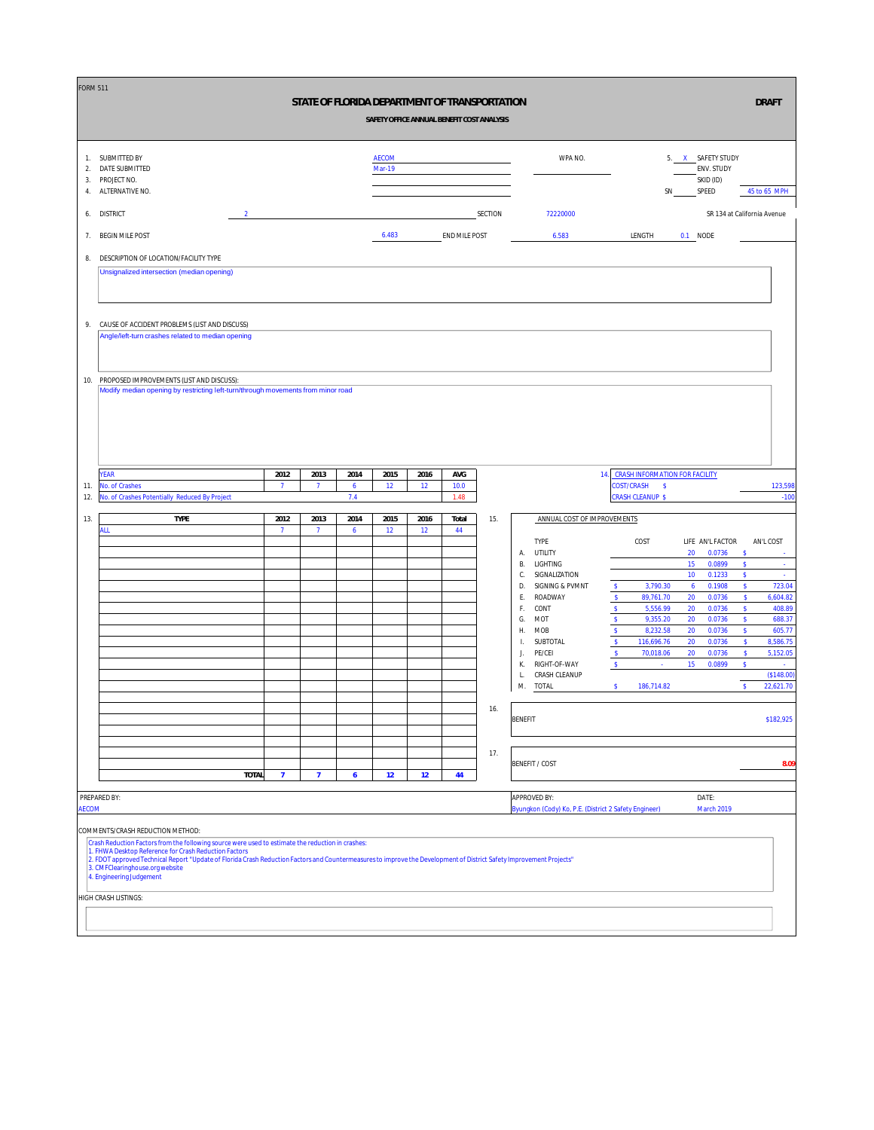| <b>FORM 511</b>      |                                                                                                                                                                                                         |                |                |                     |                               |                   | STATE OF FLORIDA DEPARTMENT OF TRANSPORTATION<br>SAFETY OFFICE ANNUAL BENEFIT COST ANALYSIS |         |                |                                                       |                              |                                                        |    |                                                       |                                     | <b>DRAFT</b>                |
|----------------------|---------------------------------------------------------------------------------------------------------------------------------------------------------------------------------------------------------|----------------|----------------|---------------------|-------------------------------|-------------------|---------------------------------------------------------------------------------------------|---------|----------------|-------------------------------------------------------|------------------------------|--------------------------------------------------------|----|-------------------------------------------------------|-------------------------------------|-----------------------------|
| 1.<br>2.<br>3.<br>4. | SUBMITTED BY<br>DATE SUBMITTED<br>PROJECT NO.<br>ALTERNATIVE NO.                                                                                                                                        |                |                |                     | <b>AECOM</b><br><b>Mar-19</b> |                   |                                                                                             |         |                | WPA NO.                                               |                              |                                                        | SN | 5. X SAFETY STUDY<br>ENV. STUDY<br>SKID (ID)<br>SPEED |                                     | 45 to 65 MPH                |
| 6.                   | <b>DISTRICT</b><br>$\overline{2}$                                                                                                                                                                       |                |                |                     |                               |                   |                                                                                             | SECTION |                | 72220000                                              |                              |                                                        |    |                                                       |                                     | SR 134 at California Avenue |
| 7.                   | <b>BEGIN MILE POST</b>                                                                                                                                                                                  |                |                |                     | 6.483                         |                   | END MILE POST                                                                               |         |                | 6.583                                                 |                              | LENGTH                                                 |    | 0.1 NODE                                              |                                     |                             |
| 8.                   | DESCRIPTION OF LOCATION/FACILITY TYPE                                                                                                                                                                   |                |                |                     |                               |                   |                                                                                             |         |                |                                                       |                              |                                                        |    |                                                       |                                     |                             |
|                      | Unsignalized intersection (median opening)                                                                                                                                                              |                |                |                     |                               |                   |                                                                                             |         |                |                                                       |                              |                                                        |    |                                                       |                                     |                             |
|                      |                                                                                                                                                                                                         |                |                |                     |                               |                   |                                                                                             |         |                |                                                       |                              |                                                        |    |                                                       |                                     |                             |
| 9.                   | CAUSE OF ACCIDENT PROBLEMS (LIST AND DISCUSS)                                                                                                                                                           |                |                |                     |                               |                   |                                                                                             |         |                |                                                       |                              |                                                        |    |                                                       |                                     |                             |
|                      | Angle/left-turn crashes related to median opening                                                                                                                                                       |                |                |                     |                               |                   |                                                                                             |         |                |                                                       |                              |                                                        |    |                                                       |                                     |                             |
|                      |                                                                                                                                                                                                         |                |                |                     |                               |                   |                                                                                             |         |                |                                                       |                              |                                                        |    |                                                       |                                     |                             |
| 10.                  | PROPOSED IMPROVEMENTS (LIST AND DISCUSS):<br>Modify median opening by restricting left-turn/through movements from minor road                                                                           |                |                |                     |                               |                   |                                                                                             |         |                |                                                       |                              |                                                        |    |                                                       |                                     |                             |
|                      |                                                                                                                                                                                                         |                |                |                     |                               |                   |                                                                                             |         |                |                                                       |                              |                                                        |    |                                                       |                                     |                             |
|                      |                                                                                                                                                                                                         |                |                |                     |                               |                   |                                                                                             |         |                |                                                       |                              |                                                        |    |                                                       |                                     |                             |
|                      |                                                                                                                                                                                                         |                |                |                     |                               |                   |                                                                                             |         |                |                                                       |                              |                                                        |    |                                                       |                                     |                             |
|                      | <b>YEAR</b>                                                                                                                                                                                             | 2012           | 2013           | 2014                | 2015                          | 2016              | AVG                                                                                         |         |                |                                                       |                              | 14. CRASH INFORMATION FOR FACILITY                     |    |                                                       |                                     |                             |
| 11.<br>12.           | No. of Crashes<br>No. of Crashes Potentially Reduced By Project                                                                                                                                         | $\overline{7}$ | $\overline{7}$ | 6<br>$7.4$          | 12                            | 12                | 10.0<br>1.48                                                                                |         |                |                                                       |                              | <b>COST/CRASH</b><br>$\sim$<br><b>CRASH CLEANUP \$</b> |    |                                                       |                                     | 123,598<br>$-100$           |
| 13.                  | TYPE                                                                                                                                                                                                    | 2012           | 2013           | 2014                | 2015                          | 2016              | Total                                                                                       | 15.     |                | ANNUAL COST OF IMPROVEMENTS                           |                              |                                                        |    |                                                       |                                     |                             |
|                      | ALL                                                                                                                                                                                                     | $\overline{7}$ | $\overline{1}$ | $\ddot{\mathbf{6}}$ | 12                            | $12 \overline{ }$ | 44                                                                                          |         |                | <b>TYPE</b>                                           |                              | COST                                                   |    | LIFE AN'L FACTOR                                      |                                     | AN'L COST                   |
|                      |                                                                                                                                                                                                         |                |                |                     |                               |                   |                                                                                             |         | А.<br>В.       | UTILITY<br>LIGHTING                                   |                              |                                                        |    | 20<br>0.0736<br>15<br>0.0899                          | $\mathsf{\$}$<br>$\pmb{\mathsf{s}}$ | ÷.                          |
|                      |                                                                                                                                                                                                         |                |                |                     |                               |                   |                                                                                             |         | С.<br>D.       | SIGNALIZATION<br>SIGNING & PVMNT                      | \$                           | 3,790.30                                               |    | 10<br>0.1233<br>0.1908<br>$\ddot{\mathbf{6}}$         | \$<br>$\mathsf S$                   | 723.04                      |
|                      |                                                                                                                                                                                                         |                |                |                     |                               |                   |                                                                                             |         | Ε.             | ROADWAY                                               | $\mathsf{\$}$                | 89,761.70                                              |    | 20<br>0.0736                                          | s                                   | 6,604.82                    |
|                      |                                                                                                                                                                                                         |                |                |                     |                               |                   |                                                                                             |         | F.             | CONT                                                  | $\mathsf S$<br>$\mathsf{\$}$ | 5,556.99<br>9,355.20                                   |    | 20<br>0.0736<br>0.0736                                | $\mathsf{s}$<br>$\boldsymbol{\$}$   | 408.89<br>688.37            |
|                      |                                                                                                                                                                                                         |                |                |                     |                               |                   |                                                                                             |         | G.<br>Η.       | MOT<br>MOB                                            | $\mathbb S$                  | 8,232.58                                               |    | 20<br>20<br>0.0736                                    | s.                                  | 605.77                      |
|                      |                                                                                                                                                                                                         |                |                |                     |                               |                   |                                                                                             |         | Ι.             | SUBTOTAL                                              | $\mathsf S$                  | 116,696.76                                             |    | 20<br>0.0736                                          | s                                   | 8,586.75                    |
|                      |                                                                                                                                                                                                         |                |                |                     |                               |                   |                                                                                             |         | J.             | PE/CEI                                                | $\mathbf{s}$<br>$\mathsf S$  | 70,018.06                                              |    | 20<br>0.0736<br>15<br>0.0899                          | s<br>$\pmb{\mathsf{s}}$             | 5,152.05                    |
|                      |                                                                                                                                                                                                         |                |                |                     |                               |                   |                                                                                             |         | К.<br>L.       | RIGHT-OF-WAY<br>CRASH CLEANUP                         |                              | $\sim$                                                 |    |                                                       |                                     | $\sim$<br>(\$148.00)        |
|                      |                                                                                                                                                                                                         |                |                |                     |                               |                   |                                                                                             |         | M.             | TOTAL                                                 | S.                           | 186,714.82                                             |    |                                                       | $\mathsf{s}$                        | 22,621.70                   |
|                      |                                                                                                                                                                                                         |                |                |                     |                               |                   |                                                                                             | 16.     |                |                                                       |                              |                                                        |    |                                                       |                                     |                             |
|                      |                                                                                                                                                                                                         |                |                |                     |                               |                   |                                                                                             |         | <b>BENEFIT</b> |                                                       |                              |                                                        |    |                                                       |                                     | \$182,925                   |
|                      |                                                                                                                                                                                                         |                |                |                     |                               |                   |                                                                                             |         |                |                                                       |                              |                                                        |    |                                                       |                                     |                             |
|                      |                                                                                                                                                                                                         |                |                |                     |                               |                   |                                                                                             | 17.     |                | <b>BENEFIT / COST</b>                                 |                              |                                                        |    |                                                       |                                     | 8.09                        |
|                      | <b>TOTAL</b>                                                                                                                                                                                            | $\overline{7}$ | $\overline{7}$ | $\ddot{\mathbf{6}}$ | 12                            | 12                | 44                                                                                          |         |                |                                                       |                              |                                                        |    |                                                       |                                     |                             |
|                      | PREPARED BY:                                                                                                                                                                                            |                |                |                     |                               |                   |                                                                                             |         |                | <b>APPROVED BY:</b>                                   |                              |                                                        |    | DATE:                                                 |                                     |                             |
| <b>AECOM</b>         |                                                                                                                                                                                                         |                |                |                     |                               |                   |                                                                                             |         |                | Byungkon (Cody) Ko, P.E. (District 2 Safety Engineer) |                              |                                                        |    | March 2019                                            |                                     |                             |
|                      | COMMENTS/CRASH REDUCTION METHOD:                                                                                                                                                                        |                |                |                     |                               |                   |                                                                                             |         |                |                                                       |                              |                                                        |    |                                                       |                                     |                             |
|                      | Crash Reduction Factors from the following source were used to estimate the reduction in crashes:<br>1. FHWA Desktop Reference for Crash Reduction Factors                                              |                |                |                     |                               |                   |                                                                                             |         |                |                                                       |                              |                                                        |    |                                                       |                                     |                             |
|                      | 2. FDOT approved Technical Report "Update of Florida Crash Reduction Factors and Countermeasures to improve the Development of District Safety Improvement Projects"<br>3. CMFClearinghouse.org website |                |                |                     |                               |                   |                                                                                             |         |                |                                                       |                              |                                                        |    |                                                       |                                     |                             |
|                      | 4. Engineering Judgement                                                                                                                                                                                |                |                |                     |                               |                   |                                                                                             |         |                |                                                       |                              |                                                        |    |                                                       |                                     |                             |
|                      | HIGH CRASH LISTINGS:                                                                                                                                                                                    |                |                |                     |                               |                   |                                                                                             |         |                |                                                       |                              |                                                        |    |                                                       |                                     |                             |
|                      |                                                                                                                                                                                                         |                |                |                     |                               |                   |                                                                                             |         |                |                                                       |                              |                                                        |    |                                                       |                                     |                             |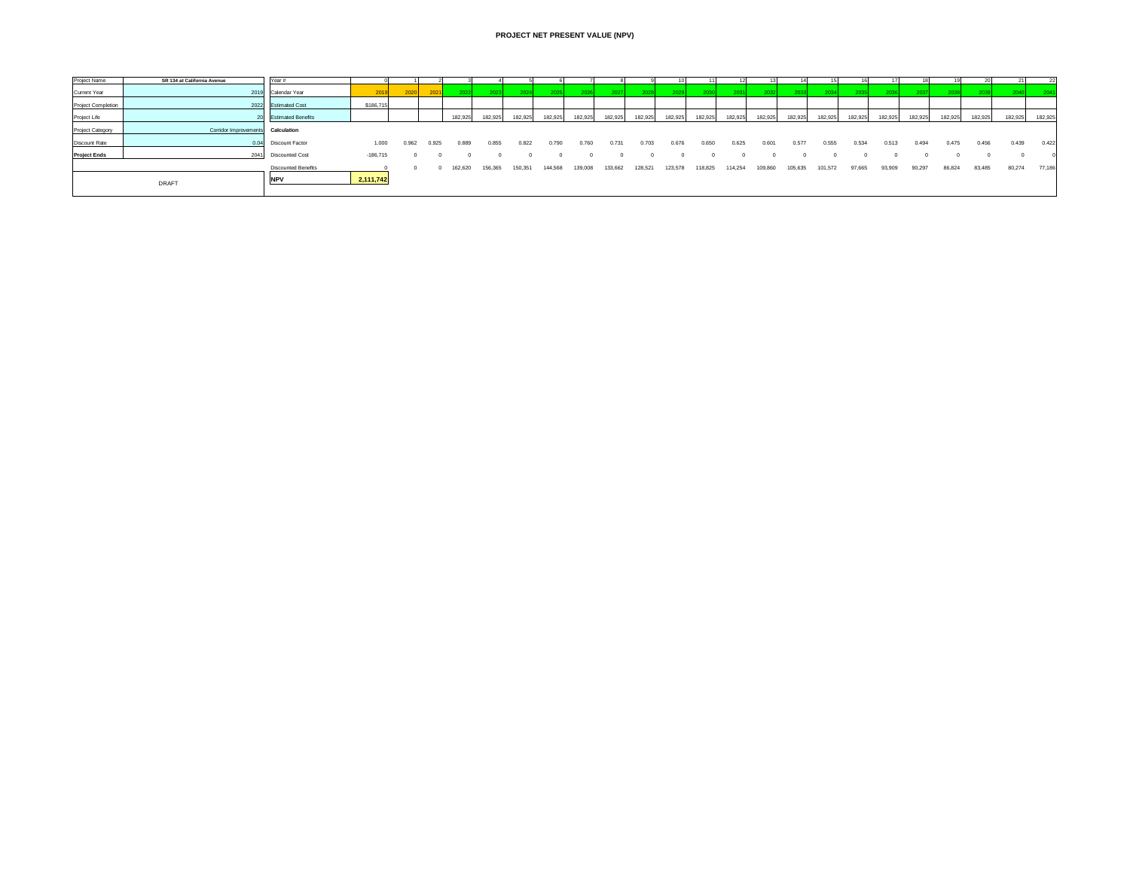## **PROJECT NET PRESENT VALUE (NPV)**

| Project Name        | SR 134 at California Avenue | Year #                     |            |       |       |         |         |         |         |         |         |         |         |         |          |         |         |         |         |         |         | 19      |         |         | 22      |
|---------------------|-----------------------------|----------------------------|------------|-------|-------|---------|---------|---------|---------|---------|---------|---------|---------|---------|----------|---------|---------|---------|---------|---------|---------|---------|---------|---------|---------|
| Current Year        |                             | 2019 Calendar Year         |            |       |       | 20221   |         | 2024    |         |         | 2027    |         |         | 2030    |          |         |         |         |         |         |         |         |         |         |         |
| Project Completion  |                             | 2022 Estimated Cost        | \$186,715  |       |       |         |         |         |         |         |         |         |         |         |          |         |         |         |         |         |         |         |         |         |         |
| Project Life        |                             | 20 Estimated Benefits      |            |       |       | 182.925 | 182.925 | 182.925 | 182,925 | 182.925 | 182,925 | 182.925 | 182,925 | 182.925 | 182.9251 | 182.925 | 182.925 | 182.925 | 182.925 | 182.925 | 182,925 | 182.925 | 182.925 | 182,925 | 182,925 |
| Project Category    | Corridor Improvements       | Calculation                |            |       |       |         |         |         |         |         |         |         |         |         |          |         |         |         |         |         |         |         |         |         |         |
| Discount Rate       | 0.04                        | Discount Factor            | 1.000      | 0.962 | 0.925 | 0.889   | 0.855   | 0.822   | 0.790   | 0.760   | 0.731   | 0.703   | 0.676   | 0.650   | 0.625    | 0.601   | 0.577   | 0.555   | 0.534   | 0.513   | 0.494   | 0.475   | 0.456   | 0.439   | 0.422   |
| <b>Project Ends</b> | 2041                        | <b>Discounted Cost</b>     | $-186,715$ |       |       |         |         |         |         |         |         |         |         |         |          |         |         |         |         |         |         |         |         |         |         |
|                     |                             | <b>Discounted Benefits</b> |            |       |       | 162,620 | 156,365 | 150,351 | 144,568 | 139,008 | 133,662 | 128,521 | 123,578 | 118,825 | 114,254  | 109,860 | 105,635 | 101.572 | 97,665  | 93,909  | 90,297  | 86,824  | 83,485  | 80,274  | 77,186  |
|                     | DRAFT                       | <b>NPV</b>                 | 2,111,742  |       |       |         |         |         |         |         |         |         |         |         |          |         |         |         |         |         |         |         |         |         |         |
|                     |                             |                            |            |       |       |         |         |         |         |         |         |         |         |         |          |         |         |         |         |         |         |         |         |         |         |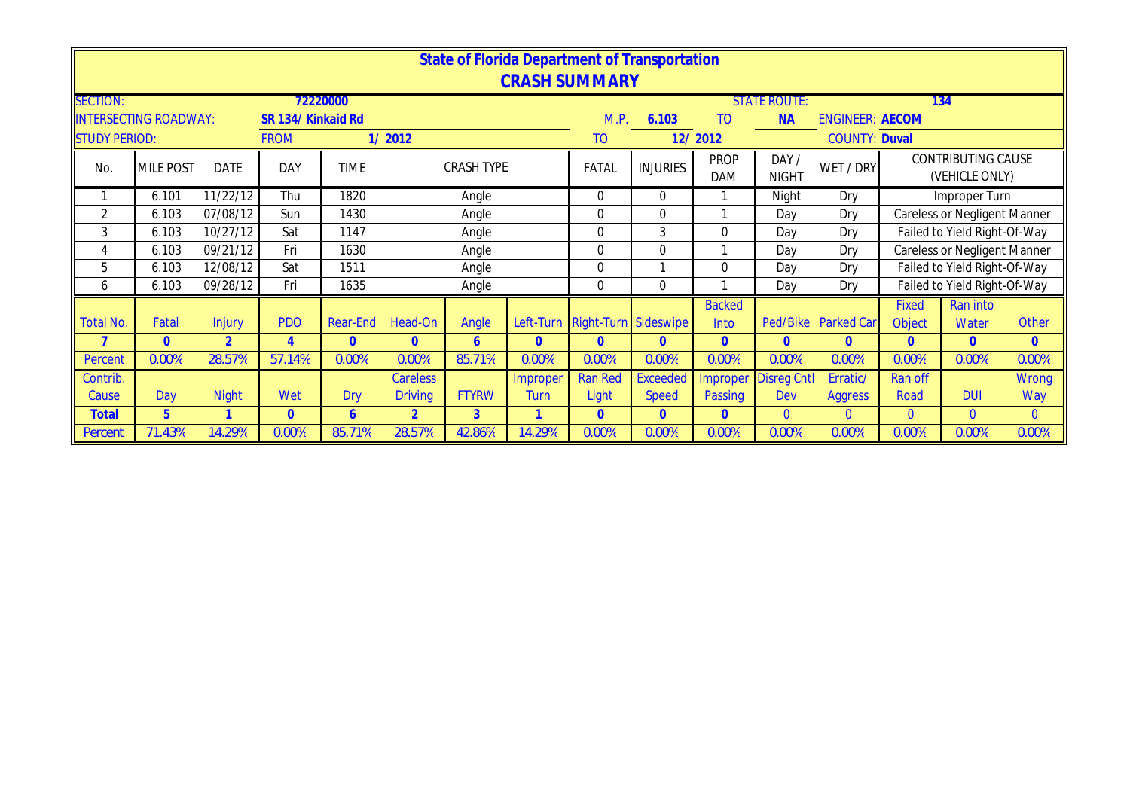|                      |                              |                |                    |             |                             |                      |          | <b>CRASH SUMMARY</b>           | State of Florida Department of Transportation |                           |                       |                        |                        |                                             |              |
|----------------------|------------------------------|----------------|--------------------|-------------|-----------------------------|----------------------|----------|--------------------------------|-----------------------------------------------|---------------------------|-----------------------|------------------------|------------------------|---------------------------------------------|--------------|
| <b>SECTION:</b>      |                              |                |                    | 72220000    |                             |                      |          |                                |                                               |                           | <b>STATE ROUTE:</b>   |                        |                        | 134                                         |              |
|                      | <b>INTERSECTING ROADWAY:</b> |                | SR 134/ Kinkaid Rd |             |                             |                      |          | M.P.                           | 6.103                                         | T <sub>O</sub>            | <b>NA</b>             | <b>ENGINEER: AECOM</b> |                        |                                             |              |
| <b>STUDY PERIOD:</b> |                              |                | <b>FROM</b>        |             | 1/2012                      |                      |          | TO                             |                                               | 12/2012                   |                       | <b>COUNTY: Duval</b>   |                        |                                             |              |
| No.                  | <b>MILE POST</b>             | <b>DATE</b>    | DAY                | <b>TIME</b> |                             | <b>CRASH TYPE</b>    |          | FATAL                          | <b>INJURIES</b>                               | <b>PROP</b><br><b>DAM</b> | DAY /<br><b>NIGHT</b> | WET / DRY              |                        | <b>CONTRIBUTING CAUSE</b><br>(VEHICLE ONLY) |              |
| 1                    | 6.101                        | 11/22/12       | Thu                | 1820        |                             | Angle                |          | $\Omega$                       | $\overline{0}$                                |                           | Night                 | Dry                    |                        | Improper Turn                               |              |
| 2                    | 6.103                        | 07/08/12       | Sun                | 1430        |                             | Angle                |          | $\Omega$                       | $\mathbf 0$                                   |                           | Day                   | Dry                    |                        | Careless or Negligent Manner                |              |
| 3                    | 6.103                        | 10/27/12       | Sat                | 1147        |                             | Angle                |          | $\Omega$                       | $\mathfrak{Z}$                                | 0                         | Day                   | Dry                    |                        | Failed to Yield Right-Of-Way                |              |
| 4                    | 6.103                        | 09/21/12       | Fri                | 1630        |                             | Angle                |          | $\Omega$                       | $\mathbf 0$                                   |                           | Day                   | Dry                    |                        | <b>Careless or Negligent Manner</b>         |              |
| 5                    | 6.103                        | 12/08/12       | Sat                | 1511        |                             | Angle                |          | $\overline{0}$                 |                                               | $\Omega$                  | Day                   | Dry                    |                        | Failed to Yield Right-Of-Way                |              |
| 6                    | 6.103                        | 09/28/12       | Fri                | 1635        |                             | Angle                |          | $\overline{0}$                 | $\mathbf 0$                                   |                           | Day                   | Dry                    |                        | Failed to Yield Right-Of-Way                |              |
| <b>Total No.</b>     | Fatal                        | <b>Injury</b>  | <b>PDO</b>         | Rear-End    | Head-On                     | Angle                |          | Left-Turn Right-Turn Sideswipe |                                               | <b>Backed</b><br>Into     | Ped/Bike              | <b>Parked Car</b>      | <b>Fixed</b><br>Object | Ran into<br>Water                           | Other        |
|                      | $\Omega$                     | $\overline{2}$ | $\overline{4}$     | $\Omega$    | $\mathbf{0}$                | 6                    | $\Omega$ | $\Omega$                       | $\overline{0}$                                | $\Omega$                  | $\Omega$              | $\overline{0}$         | $\overline{0}$         | $\Omega$                                    | $\mathbf{0}$ |
| Percent              | 0.00%                        | 28.57%         | 57.14%             | 0.00%       | 0.00%                       | 85.71%               | 0.00%    | 0.00%                          | 0.00%                                         | 0.00%                     | 0.00%                 | 0.00%                  | 0.00%                  | 0.00%                                       | 0.00%        |
| Contrib.             |                              |                |                    |             | <b>Careless</b><br>Improper |                      |          | <b>Ran Red</b>                 | <b>Exceeded</b>                               | Improper                  | <b>Disreg Cntl</b>    | Erratic/               | <b>Ran off</b>         |                                             | <b>Wrong</b> |
| Cause                | Day                          | <b>Night</b>   | Wet                | <b>Dry</b>  | <b>Driving</b>              | <b>FTYRW</b><br>Turn |          |                                | <b>Speed</b>                                  | Passing                   | Dev                   | <b>Aggress</b>         | Road                   | <b>DUI</b>                                  | Way          |
| Total                | 5                            |                | $\overline{0}$     | 6           | $\overline{2}$              | 3                    |          | $\mathbf{0}$                   | $\overline{0}$                                | $\Omega$                  | $\Omega$              | $\mathbf{0}$           | $\overline{0}$         | $\overline{0}$                              | $\mathbf{0}$ |
| Percent              | 71.43%                       | 14.29%         | 0.00%              | 85.71%      | 28.57%                      | 42.86%               | 14.29%   | 0.00%                          | 0.00%                                         | 0.00%                     | 0.00%                 | 0.00%                  | 0.00%                  | 0.00%                                       | 0.00%        |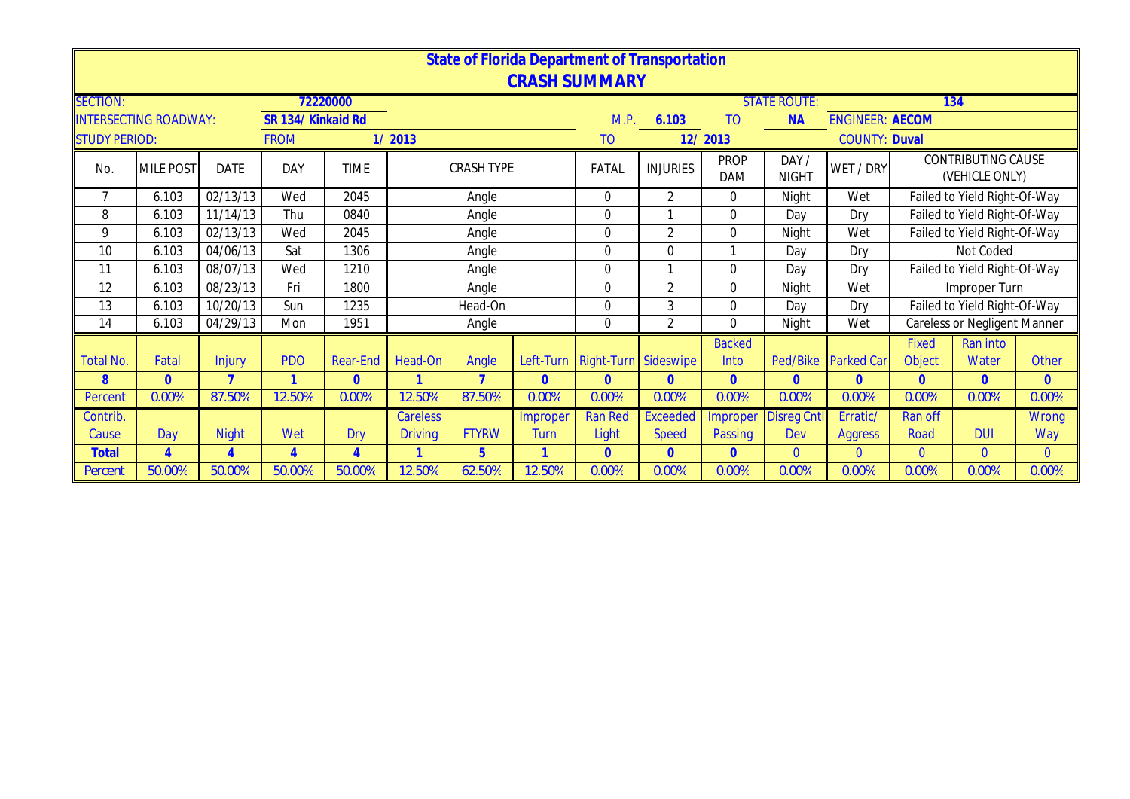|                      |                              |                |                                   |                 |                |                   |                | <b>State of Florida Department of Transportation</b> |                 |                           |                       |                                                |                |                                      |              |
|----------------------|------------------------------|----------------|-----------------------------------|-----------------|----------------|-------------------|----------------|------------------------------------------------------|-----------------|---------------------------|-----------------------|------------------------------------------------|----------------|--------------------------------------|--------------|
|                      |                              |                |                                   |                 |                |                   |                | <b>CRASH SUMMARY</b>                                 |                 |                           |                       |                                                |                |                                      |              |
| <b>SECTION:</b>      | <b>INTERSECTING ROADWAY:</b> |                |                                   | 72220000        |                |                   |                | M.P.                                                 |                 | T <sub>O</sub>            | <b>STATE ROUTE:</b>   |                                                |                | 134                                  |              |
| <b>STUDY PERIOD:</b> |                              |                | SR 134/ Kinkaid Rd<br><b>FROM</b> |                 | 1/2013         |                   |                | <b>TO</b>                                            | 6.103           | 12/2013                   | <b>NA</b>             | <b>ENGINEER: AECOM</b><br><b>COUNTY: Duval</b> |                |                                      |              |
|                      |                              |                |                                   |                 |                |                   |                |                                                      |                 |                           |                       |                                                |                |                                      |              |
| No.                  | <b>MILE POST</b>             | <b>DATE</b>    | DAY                               | <b>TIME</b>     |                | <b>CRASH TYPE</b> |                | FATAL                                                | <b>INJURIES</b> | <b>PROP</b><br><b>DAM</b> | DAY /<br><b>NIGHT</b> | WET / DRY                                      |                | CONTRIBUTING CAUSE<br>(VEHICLE ONLY) |              |
| 7                    | 6.103                        | 02/13/13       | Wed                               | 2045            |                | Angle             |                | 0                                                    | 2               | $\Omega$                  | Night                 | Wet                                            |                | Failed to Yield Right-Of-Way         |              |
| 8                    | 6.103                        | 11/14/13       | Thu                               | 0840            |                | Angle             |                | $\overline{0}$                                       | $\mathbf{A}$    | $\Omega$                  | Day                   | Dry                                            |                | Failed to Yield Right-Of-Way         |              |
| 9                    | 6.103                        | 02/13/13       | Wed                               | 2045            |                | Angle             |                | $\Omega$                                             | $\overline{2}$  | $\Omega$                  | Night                 | Wet                                            |                | Failed to Yield Right-Of-Way         |              |
| 10                   | 6.103                        | 04/06/13       | Sat                               | 1306            |                | Angle             |                | 0                                                    | $\mathbf 0$     |                           | Day                   | Dry                                            |                | Not Coded                            |              |
| 11                   | 6.103                        | 08/07/13       | Wed                               | 1210            |                | Angle             |                | $\overline{0}$                                       |                 | $\mathbf 0$               | Day                   | Dry                                            |                | Failed to Yield Right-Of-Way         |              |
| 12                   | 6.103                        | 08/23/13       | Fri                               | 1800            |                | Angle             |                | 0                                                    | $\overline{2}$  | $\Omega$                  | Night                 | Wet                                            |                | Improper Turn                        |              |
| 13                   | 6.103                        | 10/20/13       | Sun                               | 1235            |                | Head-On           |                | 0                                                    | 3               | $\Omega$                  | Day                   | Dry                                            |                | Failed to Yield Right-Of-Way         |              |
| 14                   | 6.103                        | 04/29/13       | Mon                               | 1951            |                | Angle             |                | 0                                                    | 2               | $\Omega$                  | Night                 | Wet                                            |                | <b>Careless or Negligent Manner</b>  |              |
|                      |                              |                |                                   |                 |                |                   |                |                                                      |                 | <b>Backed</b>             |                       |                                                | Fixed          | Ran into                             |              |
| <b>Total No.</b>     | Fatal                        | Injury         | <b>PDO</b>                        | <b>Rear-End</b> | Head-On        | Angle             | Left-Turn      | Right-Turn Sideswipe                                 |                 | Into                      | Ped/Bike              | <b>Parked Car</b>                              | Object         | Water                                | <b>Other</b> |
| 8                    | $\overline{0}$               | $\overline{7}$ | $\overline{1}$                    | $\overline{0}$  |                | $\overline{ }$    | $\overline{0}$ | $\Omega$                                             | $\overline{0}$  | $\overline{0}$            | $\overline{0}$        | $\mathbf{0}$                                   | $\overline{0}$ | $\overline{0}$                       | $\mathbf{0}$ |
| Percent              | 0.00%                        | 87.50%         | 12.50%                            | 0.00%           | 12.50%         | 87.50%            | 0.00%          | 0.00%                                                | 0.00%           | 0.00%                     | 0.00%                 | 0.00%                                          | 0.00%          | 0.00%                                | 0.00%        |
| Contrib.             |                              |                |                                   |                 | Careless       |                   | Improper       | <b>Ran Red</b>                                       | <b>Exceeded</b> | mproper                   | <b>Disreg Cntl</b>    | Erratic/                                       | Ran off        |                                      | <b>Wrong</b> |
| Cause                | Day                          | <b>Night</b>   | Wet                               | Dry             | <b>Driving</b> | <b>FTYRW</b>      | Turn           | Light                                                | <b>Speed</b>    | Passing                   | Dev                   | <b>Aggress</b>                                 | Road           | <b>DUI</b>                           | Way          |
| <b>Total</b>         | 4                            | $\overline{4}$ | $\overline{4}$                    | $\overline{4}$  | -1             | $5\phantom{.}$    | 1              | $\mathbf{0}$                                         | $\mathbf{0}$    | $\mathbf{0}$              | $\Omega$              | $\mathbf{0}$                                   | $\overline{0}$ | $\overline{0}$                       | $\mathbf{0}$ |
| Percent              | 50.00%                       | 50.00%         | 50.00%                            | 50.00%          | 12.50%         | 62.50%            | 12.50%         | 0.00%                                                | 0.00%           | 0.00%                     | 0.00%                 | 0.00%                                          | 0.00%          | 0.00%                                | 0.00%        |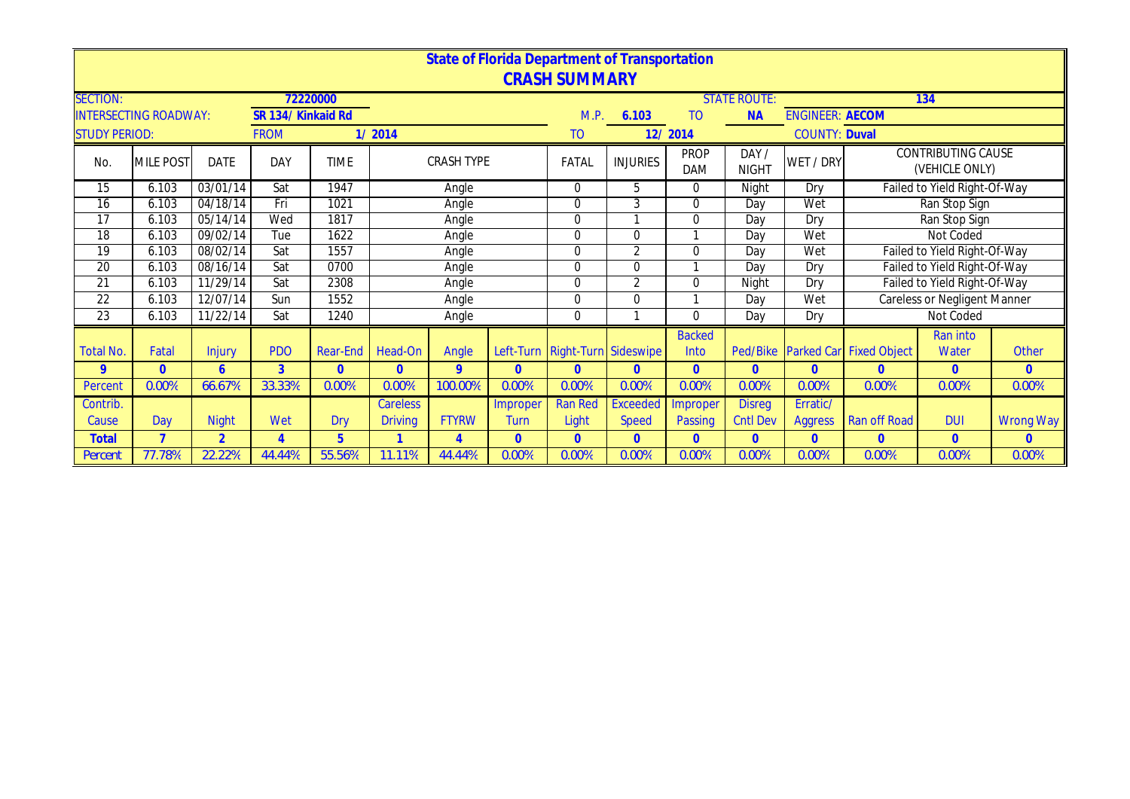|                      |                              |                |                   |                |                 |                   |          | <b>State of Florida Department of Transportation</b> |                 |                           |                      |                        |                         |                                             |                  |
|----------------------|------------------------------|----------------|-------------------|----------------|-----------------|-------------------|----------|------------------------------------------------------|-----------------|---------------------------|----------------------|------------------------|-------------------------|---------------------------------------------|------------------|
|                      |                              |                |                   |                |                 |                   |          | <b>CRASH SUMMARY</b>                                 |                 |                           |                      |                        |                         |                                             |                  |
| <b>SECTION:</b>      |                              |                |                   | 72220000       |                 |                   |          |                                                      |                 |                           | <b>STATE ROUTE:</b>  |                        |                         | 134                                         |                  |
|                      | <b>INTERSECTING ROADWAY:</b> |                | SR 134/Kinkaid Rd |                |                 |                   |          | M.P.                                                 | 6.103           | T <sub>O</sub>            | <b>NA</b>            | <b>ENGINEER: AECOM</b> |                         |                                             |                  |
| <b>STUDY PERIOD:</b> |                              |                | <b>FROM</b>       |                | 1/2014          |                   |          | TO                                                   |                 | 12/2014                   |                      | <b>COUNTY: Duval</b>   |                         |                                             |                  |
| No.                  | <b>MILE POST</b>             | <b>DATE</b>    | <b>DAY</b>        | <b>TIME</b>    |                 | <b>CRASH TYPE</b> |          | FATAL                                                | <b>INJURIES</b> | <b>PROP</b><br><b>DAM</b> | DAY/<br><b>NIGHT</b> | WET / DRY              |                         | <b>CONTRIBUTING CAUSE</b><br>(VEHICLE ONLY) |                  |
| 15                   | 6.103                        | 03/01/14       | Sat               | 1947           |                 | Angle             |          | 0                                                    | 5               | $\Omega$                  | Night                | Dry                    |                         | Failed to Yield Right-Of-Way                |                  |
| 16                   | 6.103                        | 04/18/14       | Fri               | 1021           |                 | Angle             |          | 0                                                    | 3               | $\Omega$                  | Day                  | Wet                    |                         | Ran Stop Sign                               |                  |
| 17                   | 6.103                        | 05/14/14       | Wed               | 1817           |                 | Angle             |          | 0                                                    |                 | 0                         | Day                  | Dry                    |                         | Ran Stop Sign                               |                  |
| 18                   | 6.103                        | 09/02/14       | Tue               | 1622           |                 | Angle             |          | 0                                                    | $\mathbf{0}$    |                           | Day                  | Wet                    |                         | Not Coded                                   |                  |
| 19                   | 6.103                        | 08/02/14       | Sat               | 1557           |                 | Angle             |          | 0                                                    | 2               | $\Omega$                  | Day                  | Wet                    |                         | Failed to Yield Right-Of-Way                |                  |
| 20                   | 6.103                        | 08/16/14       | Sat               | 0700           |                 | Angle             |          | 0                                                    | 0               |                           | Day                  | Dry                    |                         | Failed to Yield Right-Of-Way                |                  |
| 21                   | 6.103                        | 11/29/14       | Sat               | 2308           |                 | Angle             |          | 0                                                    | $\overline{2}$  | 0                         | Night                | Dry                    |                         | Failed to Yield Right-Of-Way                |                  |
| $\overline{22}$      | 6.103                        | 12/07/14       | Sun               | 1552           |                 | Angle             |          | 0                                                    | 0               |                           | Day                  | Wet                    |                         | <b>Careless or Negligent Manner</b>         |                  |
| 23                   | 6.103                        | 11/22/14       | Sat               | 1240           |                 | Angle             |          | 0                                                    |                 | $\Omega$                  | Dav                  | Dry                    |                         | Not Coded                                   |                  |
|                      |                              |                |                   |                |                 |                   |          |                                                      |                 | <b>Backed</b>             |                      |                        |                         | Ran into                                    |                  |
| Total No.            | Fatal                        | <b>Injury</b>  | <b>PDO</b>        | Rear-End       | Head-On         | Angle             |          | Left-Turn Right-Turn Sideswipe                       |                 | Into                      | Ped/Bike             |                        | Parked Car Fixed Object | Water                                       | Other            |
| 9                    | $\Omega$                     | 6              | 3                 | $\overline{0}$ | $\Omega$        | 9                 | $\Omega$ | $\Omega$                                             | $\Omega$        | $\Omega$                  | $\overline{0}$       | $\Omega$               | $\Omega$                | $\mathbf{0}$                                | $\Omega$         |
| Percent              | 0.00%                        | 66.67%         | 33.33%            | 0.00%          | 0.00%           | 100.00%           | 0.00%    | 0.00%                                                | 0.00%           | 0.00%                     | 0.00%                | 0.00%                  | 0.00%                   | 0.00%                                       | 0.00%            |
| Contrib.             |                              |                |                   |                | <b>Careless</b> |                   | Improper | <b>Ran Red</b>                                       | <b>Exceeded</b> | Improper                  | <b>Disreg</b>        | Erratic/               |                         |                                             |                  |
| Cause                | Day                          | <b>Night</b>   | Wet               | Dry            | <b>Driving</b>  | <b>FTYRW</b>      | Turn     | Light                                                | <b>Speed</b>    | Passing                   | <b>Cntl Dev</b>      | <b>Aggress</b>         | <b>Ran off Road</b>     | <b>DUI</b>                                  | <b>Wrong Way</b> |
| <b>Total</b>         | $\overline{7}$               | $\overline{2}$ | $\overline{4}$    | $\overline{5}$ |                 | $\overline{A}$    | $\Omega$ | $\overline{0}$                                       | $\overline{0}$  | $\overline{0}$            | $\mathbf{0}$         | $\overline{0}$         | $\overline{0}$          | $\mathbf{0}$                                | $\overline{0}$   |
| Percent              | 77.78%                       | 22.22%         | 44.44%            | 55.56%         | 11.11%          | 44.44%            | 0.00%    | 0.00%                                                | 0.00%           | 0.00%                     | 0.00%                | 0.00%                  | 0.00%                   | 0.00%                                       | 0.00%            |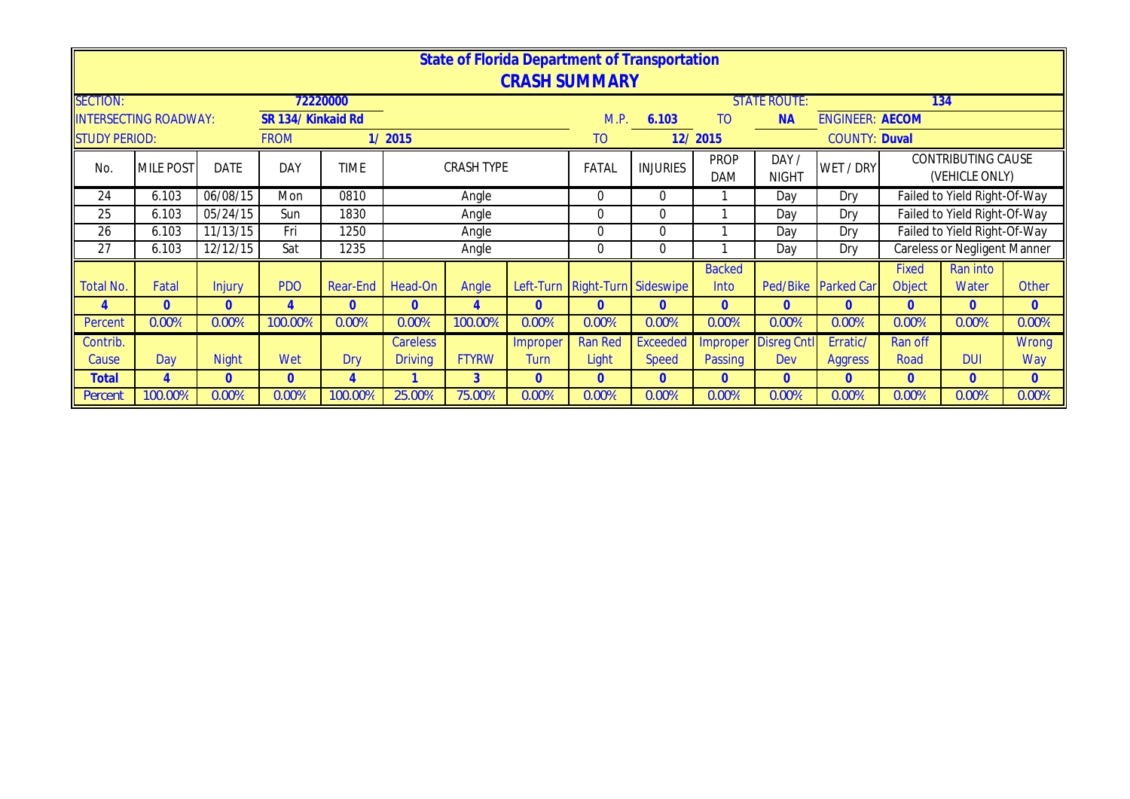|                      |                              |               |                    |             |                                               |                   | State of Florida Department of Transportation<br><b>CRASH SUMMARY</b> |                                |                 |                           |                                  |                        |                        |                                             |                |
|----------------------|------------------------------|---------------|--------------------|-------------|-----------------------------------------------|-------------------|-----------------------------------------------------------------------|--------------------------------|-----------------|---------------------------|----------------------------------|------------------------|------------------------|---------------------------------------------|----------------|
| <b>SECTION:</b>      | <b>INTERSECTING ROADWAY:</b> |               | SR 134/ Kinkaid Rd | 72220000    |                                               |                   |                                                                       | M.P.                           | 6.103           | TO                        | <b>STATE ROUTE:</b><br><b>NA</b> | <b>ENGINEER: AECOM</b> |                        | 134                                         |                |
| <b>STUDY PERIOD:</b> |                              |               | <b>FROM</b>        |             | 1/2015                                        |                   |                                                                       | TO                             |                 | 12/2015                   |                                  | <b>COUNTY: Duval</b>   |                        |                                             |                |
| No.                  | <b>MILE POST</b>             | <b>DATE</b>   | DAY                | <b>TIME</b> |                                               | <b>CRASH TYPE</b> |                                                                       | FATAL                          | <b>INJURIES</b> | <b>PROP</b><br><b>DAM</b> | DAY /<br><b>NIGHT</b>            | WET / DRY              |                        | <b>CONTRIBUTING CAUSE</b><br>(VEHICLE ONLY) |                |
| 24                   | 6.103                        | 06/08/15      | Mon                | 0810        |                                               | Angle             |                                                                       | $\overline{0}$                 | $\Omega$        |                           | Day                              | Dry                    |                        | Failed to Yield Right-Of-Way                |                |
| 25                   | 6.103                        | 05/24/15      | Sun                | 1830        |                                               | Angle             |                                                                       | $\overline{0}$                 | $\mathbf 0$     |                           | Day                              | Dry                    |                        | Failed to Yield Right-Of-Way                |                |
| 26                   | 6.103                        | 11/13/15      | Fri                | 1250        |                                               | Angle             |                                                                       | $\Omega$                       | $\Omega$        |                           | Day                              | Dry                    |                        | Failed to Yield Right-Of-Way                |                |
| 27                   | 6.103                        | 12/12/15      | Sat                | 1235        |                                               | Angle             |                                                                       | $\overline{0}$                 | $\overline{0}$  |                           | Day                              | Dry                    |                        | <b>Careless or Negligent Manner</b>         |                |
| <b>Total No.</b>     | Fatal                        | <b>Injury</b> | <b>PDO</b>         | Rear-End    | Head-On                                       | Angle             |                                                                       | Left-Turn Right-Turn Sideswipe |                 | <b>Backed</b><br>Into     | Ped/Bike                         | <b>Parked Car</b>      | <b>Fixed</b><br>Object | Ran into<br>Water                           | Other          |
| 4                    | $\Omega$                     | $\Omega$      | 4                  | $\Omega$    | $\overline{0}$                                | 4                 | 0                                                                     | $\mathbf{0}$                   | $\mathbf{0}$    | $\Omega$                  | $\overline{0}$                   | $\mathbf{0}$           | $\Omega$               | $\overline{0}$                              | $\overline{0}$ |
| Percent              | 0.00%                        | 0.00%         | 100.00%            | 0.00%       | 0.00%                                         | 100.00%           | 0.00%                                                                 | 0.00%                          | 0.00%           | 0.00%                     | 0.00%                            | 0.00%                  | 0.00%                  | 0.00%                                       | 0.00%          |
| Contrib.             |                              |               |                    |             | <b>Careless</b>                               |                   | Improper                                                              | <b>Ran Red</b>                 | <b>Exceeded</b> | Improper                  | <b>Disreg Cntl</b>               | Erratic/               | Ran off                |                                             | <b>Wrong</b>   |
| Cause                | Day                          | <b>Night</b>  | Wet                | Dry         | <b>Driving</b><br><b>FTYRW</b><br><b>Turn</b> |                   |                                                                       | Light                          | <b>Speed</b>    | Passing                   | Dev                              | <b>Aggress</b>         | Road                   | <b>DUI</b>                                  | Way            |
| Total                | 4                            | $\Omega$      | $\mathbf{0}$       | 4           |                                               | 3                 | 0                                                                     | $\mathbf{0}$                   | $\overline{0}$  | $\Omega$                  | $\Omega$                         | $\mathbf{0}$           | $\Omega$               | $\Omega$                                    | $\overline{0}$ |
| Percent              | 100.00%                      | 0.00%         | 0.00%              | 100.00%     | 25.00%                                        | 75.00%            | 0.00%                                                                 | 0.00%                          | 0.00%           | 0.00%                     | 0.00%                            | 0.00%                  | 0.00%                  | 0.00%                                       | 0.00%          |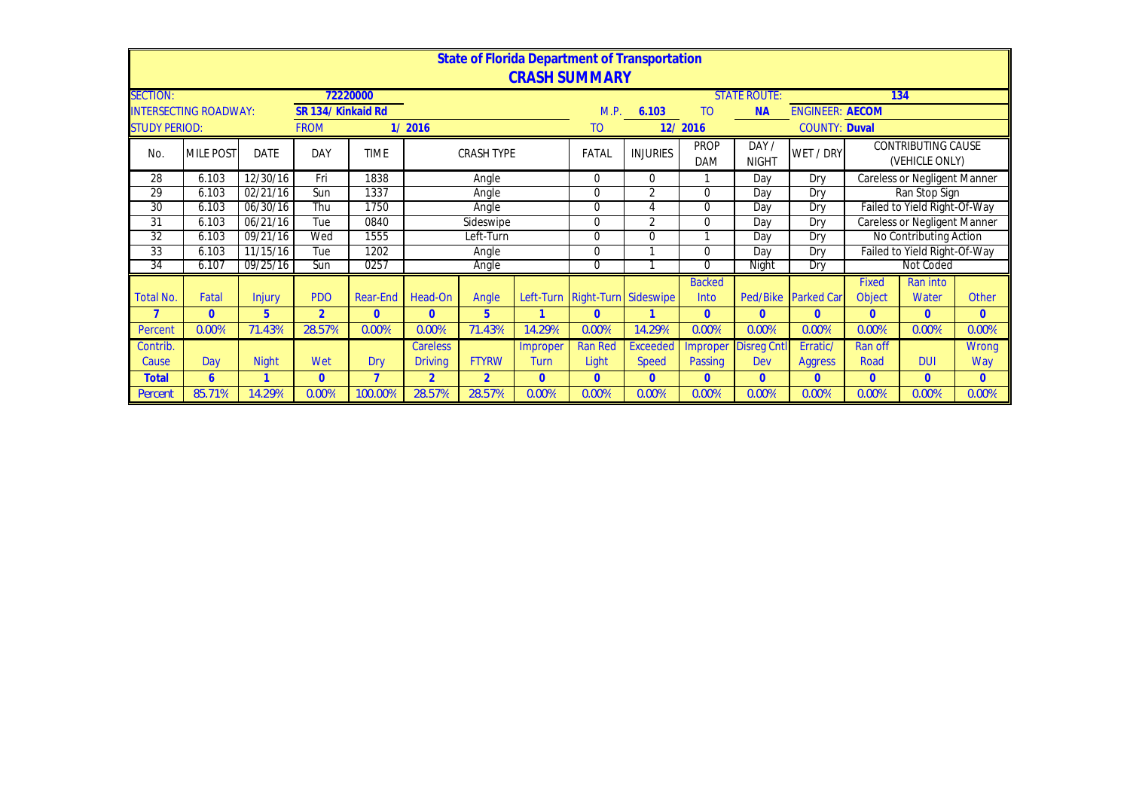|                      | State of Florida Department of Transportation |               |                    |             |                 |                   |                |                                |                 |                                           |                      |                      |                                             |                              |              |  |  |  |
|----------------------|-----------------------------------------------|---------------|--------------------|-------------|-----------------|-------------------|----------------|--------------------------------|-----------------|-------------------------------------------|----------------------|----------------------|---------------------------------------------|------------------------------|--------------|--|--|--|
|                      | <b>CRASH SUMMARY</b>                          |               |                    |             |                 |                   |                |                                |                 |                                           |                      |                      |                                             |                              |              |  |  |  |
| <b>SECTION:</b>      |                                               |               |                    | 72220000    |                 |                   |                |                                |                 | <b>STATE ROUTE:</b>                       | 134                  |                      |                                             |                              |              |  |  |  |
|                      | <b>INTERSECTING ROADWAY:</b>                  |               | SR 134/ Kinkaid Rd |             |                 |                   |                | M.P.                           | 6.103           | <b>ENGINEER: AECOM</b><br>TO<br><b>NA</b> |                      |                      |                                             |                              |              |  |  |  |
| <b>STUDY PERIOD:</b> |                                               |               | <b>FROM</b>        |             | 1/2016          |                   |                | T <sub>O</sub>                 |                 | 12/2016                                   |                      | <b>COUNTY: Duval</b> |                                             |                              |              |  |  |  |
| No.                  | <b>MILE POST</b>                              | <b>DATE</b>   | <b>DAY</b>         | <b>TIME</b> |                 | <b>CRASH TYPE</b> |                | FATAL                          | <b>INJURIES</b> | <b>PROP</b><br><b>DAM</b>                 | DAY/<br><b>NIGHT</b> | WET / DRY            | <b>CONTRIBUTING CAUSE</b><br>(VEHICLE ONLY) |                              |              |  |  |  |
| 28                   | 6.103                                         | 12/30/16      | Fri                | 1838        |                 | Angle             |                | 0                              | $\mathbf 0$     |                                           | Day                  | Dry                  | <b>Careless or Negligent Manner</b>         |                              |              |  |  |  |
| 29                   | 6.103                                         | 02/21/16      | Sun                | 1337        |                 | Angle             |                | $\overline{0}$                 | 2               | $\Omega$                                  | Day                  | Dry                  | Ran Stop Sign                               |                              |              |  |  |  |
| 30                   | 6.103                                         | 06/30/16      | Thu                | 1750        |                 | Angle             |                | $\Omega$                       | 4               | 0                                         | Day                  | Dry                  |                                             | Failed to Yield Right-Of-Way |              |  |  |  |
| 31                   | 6.103                                         | 06/21/16      | Tue                | 0840        |                 | Sideswipe         |                | $\Omega$                       | $\overline{2}$  | 0                                         | Day                  | Dry                  | <b>Careless or Negligent Manner</b>         |                              |              |  |  |  |
| $\overline{32}$      | 6.103                                         | 09/21/16      | Wed                | 1555        |                 | Left-Turn         |                | $\Omega$                       | $\Omega$        |                                           | Day                  | Dry                  | No Contributing Action                      |                              |              |  |  |  |
| 33                   | 6.103                                         | 11/15/16      | Tue                | 1202        |                 | Angle             |                | $\Omega$                       |                 | 0                                         | Day                  | Dry                  | Failed to Yield Right-Of-Way                |                              |              |  |  |  |
| 34                   | 6.107                                         | 09/25/16      | Sun                | 0257        |                 | Angle             |                | 0                              |                 | 0                                         | Night                | Dry                  | Not Coded                                   |                              |              |  |  |  |
|                      |                                               |               |                    |             |                 |                   |                |                                |                 | <b>Backed</b>                             |                      |                      | <b>Fixed</b>                                | Ran into                     |              |  |  |  |
| <b>Total No.</b>     | Fatal                                         | <b>Injury</b> | <b>PDO</b>         | Rear-End    | Head-On         | Angle             |                | Left-Turn Right-Turn Sideswipe |                 | Into                                      | Ped/Bike             | <b>Parked Car</b>    | Object                                      | Water                        | <b>Other</b> |  |  |  |
| $\overline{7}$       | $\overline{0}$                                | 5             | $\overline{2}$     | $\Omega$    | $\overline{0}$  | 5                 |                | $\Omega$                       |                 | $\overline{0}$                            | $\mathbf{0}$         | $\Omega$             | $\Omega$                                    | $\overline{0}$               | $\Omega$     |  |  |  |
| Percent              | 0.00%                                         | 71.43%        | 28.57%             | 0.00%       | 0.00%           | 71.43%            | 14.29%         | 0.00%                          | 14.29%          | 0.00%                                     | 0.00%                | 0.00%                | 0.00%                                       | 0.00%                        | 0.00%        |  |  |  |
| Contrib.             |                                               |               |                    |             | <b>Careless</b> |                   | Improper       | <b>Ran Red</b>                 | <b>Exceeded</b> | Improper                                  | <b>Disreg Cnt</b>    | Erratic/             | Ran off                                     |                              | Wrong        |  |  |  |
| Cause                | Day                                           | <b>Night</b>  | Wet                | Dry         | <b>Driving</b>  | <b>FTYRW</b>      | Turn           | Light                          | <b>Speed</b>    | Passing                                   | <b>Dev</b>           | <b>Aggress</b>       | Road                                        | <b>DUI</b>                   | Way          |  |  |  |
| <b>Total</b>         | 6                                             |               | $\mathbf{0}$       | ┓           | $\overline{2}$  | $\overline{2}$    | $\overline{0}$ | $\Omega$                       | $\Omega$        | $\mathbf{0}$                              | $\Omega$             | $\Omega$             | $\Omega$                                    | $\overline{0}$               | $\mathbf{0}$ |  |  |  |
| Percent              | 85.71%                                        | 14.29%        | 0.00%              | 100.00%     | 28.57%          | 28.57%            | 0.00%          | 0.00%                          | 0.00%           | 0.00%                                     | 0.00%                | 0.00%                | 0.00%                                       | 0.00%                        | 0.00%        |  |  |  |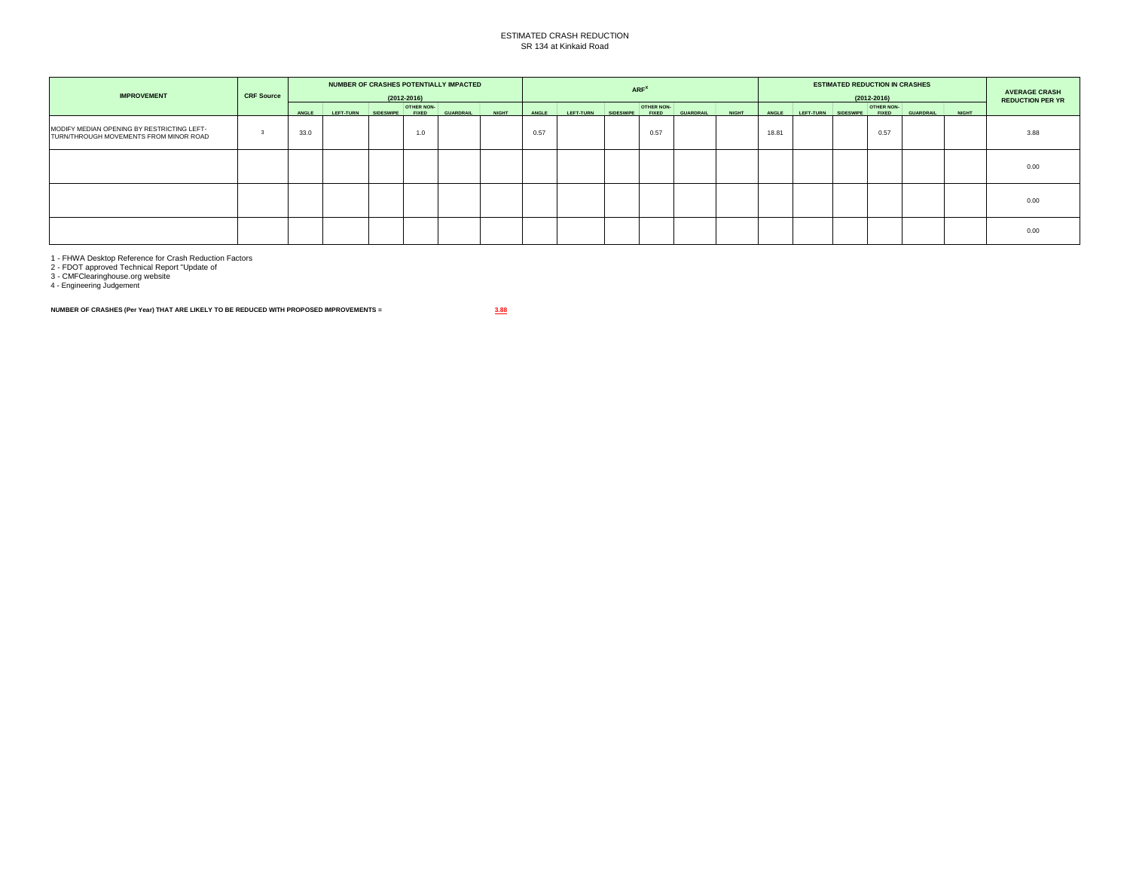## ESTIMATED CRASH REDUCTION SR 134 at Kinkaid Road

| <b>IMPROVEMENT</b>                                                                   | <b>CRF Source</b> | NUMBER OF CRASHES POTENTIALLY IMPACTED<br>$(2012 - 2016)$ |           |                  |                                   |                  |              |       | ARF <sup>X</sup> |                  |                            |                  |              |       |           | <b>ESTIMATED REDUCTION IN CRASHES</b><br>$(2012 - 2016)$ |                                   |                  |              |                         |  |  |
|--------------------------------------------------------------------------------------|-------------------|-----------------------------------------------------------|-----------|------------------|-----------------------------------|------------------|--------------|-------|------------------|------------------|----------------------------|------------------|--------------|-------|-----------|----------------------------------------------------------|-----------------------------------|------------------|--------------|-------------------------|--|--|
|                                                                                      |                   | ANGLE                                                     | LEFT-TURN | <b>SIDESWIPE</b> | <b>OTHER NON-</b><br><b>FIXED</b> | <b>GUARDRAIL</b> | <b>NIGHT</b> | ANGLE | LEFT-TURN        | <b>SIDESWIPE</b> | OTHER NON-<br><b>FIXED</b> | <b>GUARDRAIL</b> | <b>NIGHT</b> | ANGLE | LEFT-TURN | <b>SIDESWIPE</b>                                         | <b>OTHER NON-</b><br><b>FIXED</b> | <b>GUARDRAIL</b> | <b>NIGHT</b> | <b>REDUCTION PER YR</b> |  |  |
| MODIFY MEDIAN OPENING BY RESTRICTING LEFT-<br>TURN/THROUGH MOVEMENTS FROM MINOR ROAD |                   | 33.0                                                      |           |                  | 1.0                               |                  |              | 0.57  |                  |                  | 0.57                       |                  |              | 18.81 |           |                                                          | 0.57                              |                  |              | 3.88                    |  |  |
|                                                                                      |                   |                                                           |           |                  |                                   |                  |              |       |                  |                  |                            |                  |              |       |           |                                                          |                                   |                  |              | 0.00                    |  |  |
|                                                                                      |                   |                                                           |           |                  |                                   |                  |              |       |                  |                  |                            |                  |              |       |           |                                                          |                                   |                  |              | 0.00                    |  |  |
|                                                                                      |                   |                                                           |           |                  |                                   |                  |              |       |                  |                  |                            |                  |              |       |           |                                                          |                                   |                  |              | 0.00                    |  |  |

1 - FHWA Desktop Reference for Crash Reduction Factors 2 - FDOT approved Technical Report "Update of 3 - CMFClearinghouse.org website 4 - Engineering Judgement

**NUMBER OF CRASHES (Per Year) THAT ARE LIKELY TO BE REDUCED WITH PROPOSED IMPROVEMENTS = 3.88**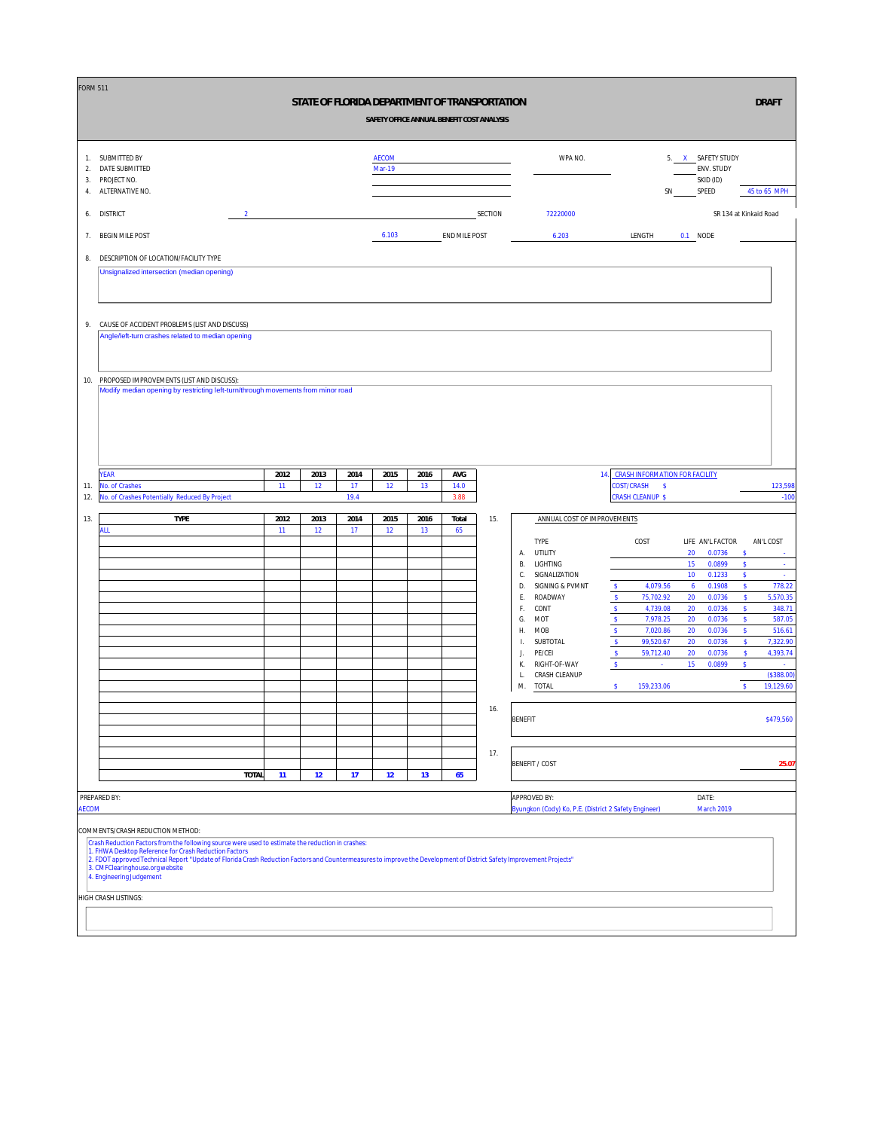| <b>FORM 511</b>      |                                                                                                                                                                                                                               |      |      |            |                               |      | STATE OF FLORIDA DEPARTMENT OF TRANSPORTATION<br>SAFETY OFFICE ANNUAL BENEFIT COST ANALYSIS |         |                |                                                       |                              |                                                        |    |                                                       |                                     | <b>DRAFT</b> |                    |
|----------------------|-------------------------------------------------------------------------------------------------------------------------------------------------------------------------------------------------------------------------------|------|------|------------|-------------------------------|------|---------------------------------------------------------------------------------------------|---------|----------------|-------------------------------------------------------|------------------------------|--------------------------------------------------------|----|-------------------------------------------------------|-------------------------------------|--------------|--------------------|
| 1.<br>2.<br>3.<br>4. | SUBMITTED BY<br>DATE SUBMITTED<br>PROJECT NO.<br>ALTERNATIVE NO.                                                                                                                                                              |      |      |            | <b>AECOM</b><br><b>Mar-19</b> |      |                                                                                             |         |                | WPA NO.                                               |                              |                                                        | SN | 5. X SAFETY STUDY<br>ENV. STUDY<br>SKID (ID)<br>SPEED |                                     | 45 to 65 MPH |                    |
| 6.                   | <b>DISTRICT</b><br>$\overline{2}$                                                                                                                                                                                             |      |      |            |                               |      |                                                                                             | SECTION |                | 72220000                                              |                              |                                                        |    |                                                       | SR 134 at Kinkaid Road              |              |                    |
| 7.                   | <b>BEGIN MILE POST</b>                                                                                                                                                                                                        |      |      |            | 6.103                         |      | END MILE POST                                                                               |         |                | 6.203                                                 |                              | LENGTH                                                 |    | 0.1 NODE                                              |                                     |              |                    |
| 8.                   | DESCRIPTION OF LOCATION/FACILITY TYPE                                                                                                                                                                                         |      |      |            |                               |      |                                                                                             |         |                |                                                       |                              |                                                        |    |                                                       |                                     |              |                    |
|                      | Unsignalized intersection (median opening)                                                                                                                                                                                    |      |      |            |                               |      |                                                                                             |         |                |                                                       |                              |                                                        |    |                                                       |                                     |              |                    |
|                      |                                                                                                                                                                                                                               |      |      |            |                               |      |                                                                                             |         |                |                                                       |                              |                                                        |    |                                                       |                                     |              |                    |
| 9.                   | CAUSE OF ACCIDENT PROBLEMS (LIST AND DISCUSS)<br>Angle/left-turn crashes related to median opening                                                                                                                            |      |      |            |                               |      |                                                                                             |         |                |                                                       |                              |                                                        |    |                                                       |                                     |              |                    |
|                      |                                                                                                                                                                                                                               |      |      |            |                               |      |                                                                                             |         |                |                                                       |                              |                                                        |    |                                                       |                                     |              |                    |
| 10.                  | PROPOSED IMPROVEMENTS (LIST AND DISCUSS):                                                                                                                                                                                     |      |      |            |                               |      |                                                                                             |         |                |                                                       |                              |                                                        |    |                                                       |                                     |              |                    |
|                      | Modify median opening by restricting left-turn/through movements from minor road                                                                                                                                              |      |      |            |                               |      |                                                                                             |         |                |                                                       |                              |                                                        |    |                                                       |                                     |              |                    |
|                      |                                                                                                                                                                                                                               |      |      |            |                               |      |                                                                                             |         |                |                                                       |                              |                                                        |    |                                                       |                                     |              |                    |
|                      |                                                                                                                                                                                                                               |      |      |            |                               |      |                                                                                             |         |                |                                                       |                              |                                                        |    |                                                       |                                     |              |                    |
|                      | <b>YEAR</b>                                                                                                                                                                                                                   | 2012 | 2013 | 2014       | 2015                          | 2016 | AVG                                                                                         |         |                |                                                       |                              | 14. CRASH INFORMATION FOR FACILITY                     |    |                                                       |                                     |              |                    |
| 11.<br>12.           | No. of Crashes<br>No. of Crashes Potentially Reduced By Project                                                                                                                                                               | 11   | 12   | 17<br>19.4 | 12                            | 13   | 14.0<br>3.88                                                                                |         |                |                                                       |                              | <b>COST/CRASH</b><br>$\sim$<br><b>CRASH CLEANUP \$</b> |    |                                                       |                                     |              | 123,598<br>$-100$  |
| 13.                  | <b>TYPE</b>                                                                                                                                                                                                                   | 2012 | 2013 | 2014       | 2015                          | 2016 | Total                                                                                       | 15.     |                | ANNUAL COST OF IMPROVEMENTS                           |                              |                                                        |    |                                                       |                                     |              |                    |
|                      | ALL                                                                                                                                                                                                                           | 11   | 12   | 17         | 12                            | 13   | 65                                                                                          |         |                | <b>TYPE</b>                                           |                              | COST                                                   |    | LIFE AN'L FACTOR                                      |                                     | AN'L COST    |                    |
|                      |                                                                                                                                                                                                                               |      |      |            |                               |      |                                                                                             |         | А.<br>В.       | UTILITY<br>LIGHTING                                   |                              |                                                        |    | 20<br>0.0736<br>15<br>0.0899                          | $\mathsf{\$}$<br>$\pmb{\mathsf{s}}$ |              | ÷.                 |
|                      |                                                                                                                                                                                                                               |      |      |            |                               |      |                                                                                             |         | С.<br>D.       | SIGNALIZATION<br>SIGNING & PVMNT                      | $\mathbb S$                  | 4,079.56                                               |    | 10<br>0.1233<br>0.1908<br>$\ddot{\mathbf{6}}$         | \$<br>$\pmb{\mathsf{s}}$            |              | 778.22             |
|                      |                                                                                                                                                                                                                               |      |      |            |                               |      |                                                                                             |         | Ε.             | ROADWAY                                               | $\mathsf{\$}$                | 75,702.92                                              |    | 20<br>0.0736                                          | s                                   |              | 5,570.35           |
|                      |                                                                                                                                                                                                                               |      |      |            |                               |      |                                                                                             |         | F.<br>G.       | CONT<br><b>MOT</b>                                    | $\mathsf S$<br>\$            | 4,739.08<br>7,978.25                                   |    | 20<br>0.0736<br>0.0736<br>20                          | $\mathsf S$<br>$\mathbf{s}$         |              | 348.71<br>587.05   |
|                      |                                                                                                                                                                                                                               |      |      |            |                               |      |                                                                                             |         | Η.             | MOB                                                   | $\mathbb S$                  | 7,020.86                                               |    | 20<br>0.0736                                          | s.                                  |              | 516.61             |
|                      |                                                                                                                                                                                                                               |      |      |            |                               |      |                                                                                             |         | Ι.             | SUBTOTAL                                              | $\mathbf{s}$                 | 99,520.67                                              |    | 20<br>0.0736                                          | s                                   |              | 7,322.90           |
|                      |                                                                                                                                                                                                                               |      |      |            |                               |      |                                                                                             |         | J.<br>К.       | PE/CEI<br>RIGHT-OF-WAY                                | $\mathsf{\$}$<br>$\mathsf S$ | 59,712.40<br>$\sim$                                    |    | 20<br>0.0736<br>15<br>0.0899                          | s<br>$\pmb{\mathsf{s}}$             |              | 4,393.74<br>$\sim$ |
|                      |                                                                                                                                                                                                                               |      |      |            |                               |      |                                                                                             |         | L.             | CRASH CLEANUP                                         |                              |                                                        |    |                                                       |                                     |              | (\$388.00)         |
|                      |                                                                                                                                                                                                                               |      |      |            |                               |      |                                                                                             |         | M.             | TOTAL                                                 | $\mathsf{S}$                 | 159,233.06                                             |    |                                                       | $\mathsf{s}$                        |              | 19,129.60          |
|                      |                                                                                                                                                                                                                               |      |      |            |                               |      |                                                                                             | 16.     | <b>BENEFIT</b> |                                                       |                              |                                                        |    |                                                       |                                     |              | \$479,560          |
|                      |                                                                                                                                                                                                                               |      |      |            |                               |      |                                                                                             |         |                |                                                       |                              |                                                        |    |                                                       |                                     |              |                    |
|                      |                                                                                                                                                                                                                               |      |      |            |                               |      |                                                                                             | 17.     |                | <b>BENEFIT / COST</b>                                 |                              |                                                        |    |                                                       |                                     |              | 25.07              |
|                      | <b>TOTAL</b>                                                                                                                                                                                                                  | 11   | 12   | 17         | 12                            | 13   | 65                                                                                          |         |                |                                                       |                              |                                                        |    |                                                       |                                     |              |                    |
|                      | PREPARED BY:                                                                                                                                                                                                                  |      |      |            |                               |      |                                                                                             |         |                | <b>APPROVED BY:</b>                                   |                              |                                                        |    | DATE:                                                 |                                     |              |                    |
| <b>AECOM</b>         |                                                                                                                                                                                                                               |      |      |            |                               |      |                                                                                             |         |                | Byungkon (Cody) Ko, P.E. (District 2 Safety Engineer) |                              |                                                        |    | March 2019                                            |                                     |              |                    |
|                      | COMMENTS/CRASH REDUCTION METHOD:<br>Crash Reduction Factors from the following source were used to estimate the reduction in crashes:                                                                                         |      |      |            |                               |      |                                                                                             |         |                |                                                       |                              |                                                        |    |                                                       |                                     |              |                    |
|                      | 1. FHWA Desktop Reference for Crash Reduction Factors<br>2. FDOT approved Technical Report "Update of Florida Crash Reduction Factors and Countermeasures to improve the Development of District Safety Improvement Projects" |      |      |            |                               |      |                                                                                             |         |                |                                                       |                              |                                                        |    |                                                       |                                     |              |                    |
|                      | 3. CMFClearinghouse.org website<br>4. Engineering Judgement                                                                                                                                                                   |      |      |            |                               |      |                                                                                             |         |                |                                                       |                              |                                                        |    |                                                       |                                     |              |                    |
|                      | HIGH CRASH LISTINGS:                                                                                                                                                                                                          |      |      |            |                               |      |                                                                                             |         |                |                                                       |                              |                                                        |    |                                                       |                                     |              |                    |
|                      |                                                                                                                                                                                                                               |      |      |            |                               |      |                                                                                             |         |                |                                                       |                              |                                                        |    |                                                       |                                     |              |                    |
|                      |                                                                                                                                                                                                                               |      |      |            |                               |      |                                                                                             |         |                |                                                       |                              |                                                        |    |                                                       |                                     |              |                    |